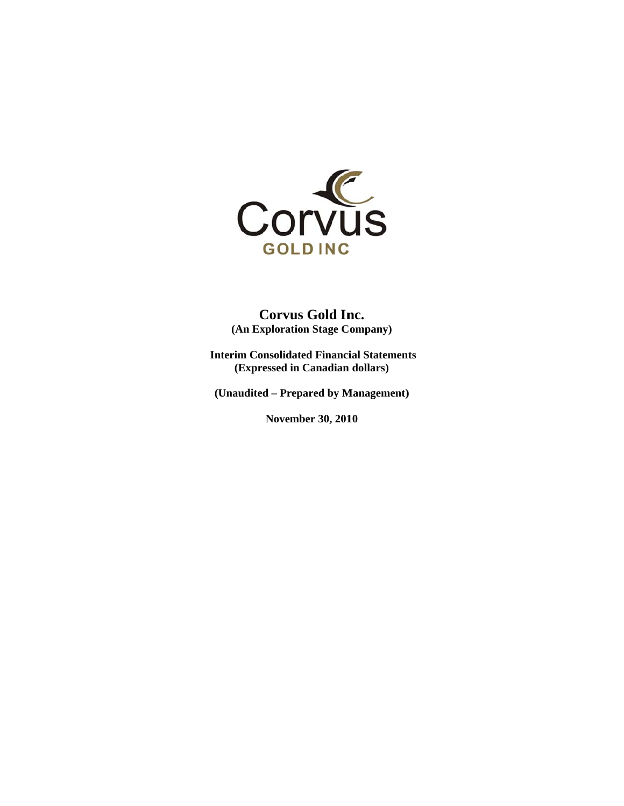

**( (An Explorat tion Stage C ompany) Corvus Gold Inc.** 

Interim Consolidated Financial Statements **(Expressed i in Canadian dollars)** 

**(Un audited – Pr repared by M Management)**

**November 30, 2010**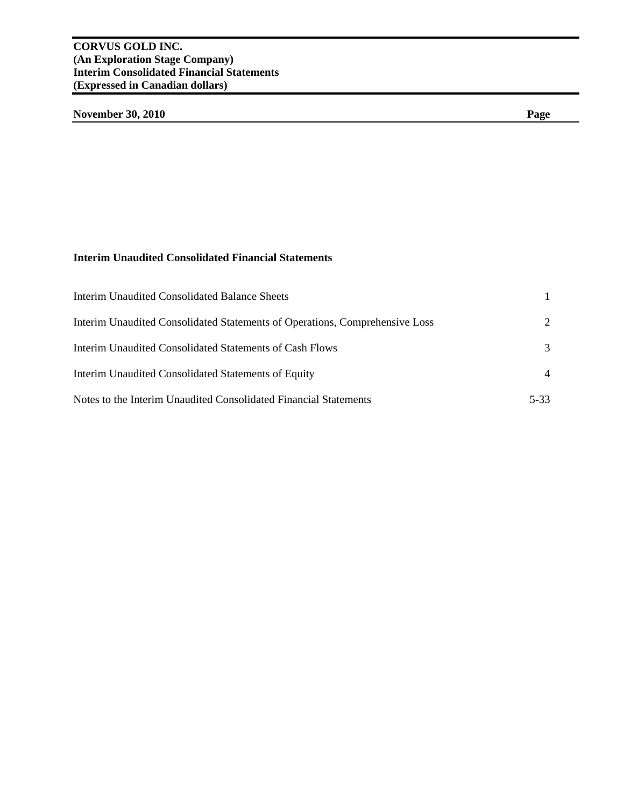# **November 30, 2010** Page

# **Interim Unaudited Consolidated Financial Statements**

| <b>Interim Unaudited Consolidated Balance Sheets</b>                        |                       |
|-----------------------------------------------------------------------------|-----------------------|
| Interim Unaudited Consolidated Statements of Operations, Comprehensive Loss | $\mathcal{D}_{\cdot}$ |
| Interim Unaudited Consolidated Statements of Cash Flows                     | 3                     |
| Interim Unaudited Consolidated Statements of Equity                         | 4                     |
| Notes to the Interim Unaudited Consolidated Financial Statements            | 5-33                  |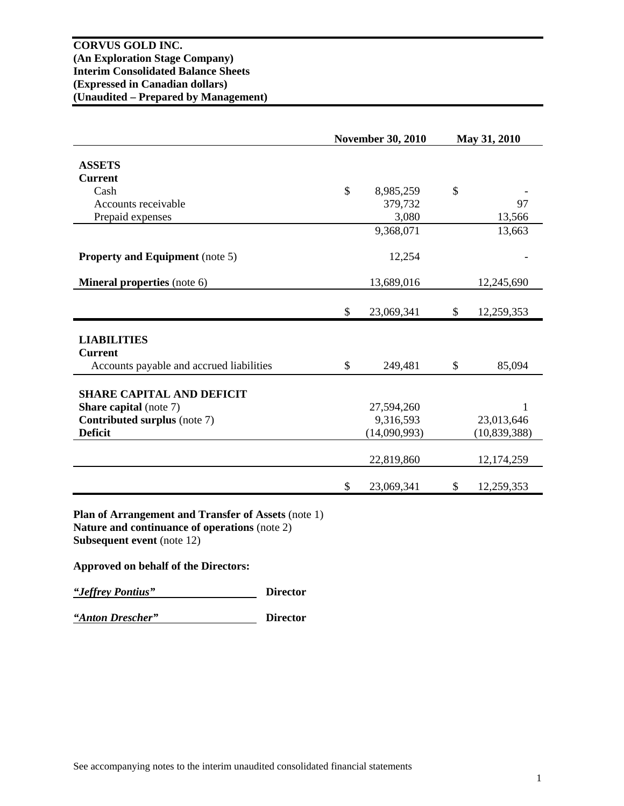|                                          |              | <b>November 30, 2010</b> | May 31, 2010     |
|------------------------------------------|--------------|--------------------------|------------------|
|                                          |              |                          |                  |
| <b>ASSETS</b>                            |              |                          |                  |
| <b>Current</b>                           |              |                          |                  |
| Cash                                     | $\mathbb{S}$ | 8,985,259                | \$               |
| Accounts receivable                      |              | 379,732                  | 97               |
| Prepaid expenses                         |              | 3,080                    | 13,566           |
|                                          |              | 9,368,071                | 13,663           |
| <b>Property and Equipment</b> (note 5)   |              | 12,254                   |                  |
| <b>Mineral properties</b> (note 6)       |              | 13,689,016               | 12,245,690       |
|                                          |              |                          |                  |
|                                          | \$           | 23,069,341               | \$<br>12,259,353 |
|                                          |              |                          |                  |
|                                          |              |                          |                  |
| <b>LIABILITIES</b>                       |              |                          |                  |
| <b>Current</b>                           |              |                          |                  |
| Accounts payable and accrued liabilities | \$           | 249,481                  | \$<br>85,094     |
|                                          |              |                          |                  |
| <b>SHARE CAPITAL AND DEFICIT</b>         |              |                          |                  |
| <b>Share capital</b> (note 7)            |              | 27,594,260               | 1                |
| <b>Contributed surplus (note 7)</b>      |              | 9,316,593                | 23,013,646       |
| <b>Deficit</b>                           |              | (14,090,993)             | (10, 839, 388)   |
|                                          |              | 22,819,860               | 12,174,259       |
|                                          | \$           | 23,069,341               | \$<br>12,259,353 |

**Plan of Arrangement and Transfer of Assets** (note 1) **Nature and continuance of operations** (note 2) **Subsequent event** (note 12)

## **Approved on behalf of the Directors:**

*"Jeffrey Pontius"* **Director** 

*"Anton Drescher"* **Director**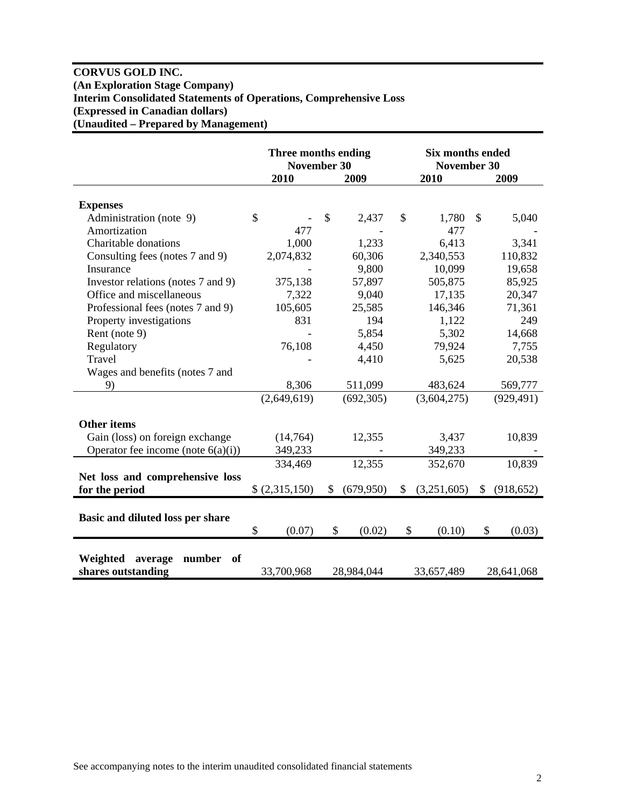## **CORVUS GOLD INC. (An Exploration Stage Company) Interim Consolidated Statements of Operations, Comprehensive Loss (Expressed in Canadian dollars) (Unaudited – Prepared by Management)**

|                                                           |                         | Three months ending<br><b>November 30</b> | <b>Six months ended</b><br>November 30 |                        |  |
|-----------------------------------------------------------|-------------------------|-------------------------------------------|----------------------------------------|------------------------|--|
|                                                           | 2010                    | 2009                                      | 2010                                   | 2009                   |  |
| <b>Expenses</b>                                           |                         |                                           |                                        |                        |  |
| Administration (note 9)                                   | $\mathcal{S}$           | \$<br>2,437                               | \$<br>1,780                            | $\mathcal{S}$<br>5,040 |  |
| Amortization                                              | 477                     |                                           | 477                                    |                        |  |
| Charitable donations                                      | 1,000                   | 1,233                                     | 6,413                                  | 3,341                  |  |
| Consulting fees (notes 7 and 9)                           | 2,074,832               | 60,306                                    | 2,340,553                              | 110,832                |  |
| Insurance                                                 |                         | 9,800                                     | 10,099                                 | 19,658                 |  |
| Investor relations (notes 7 and 9)                        | 375,138                 | 57,897                                    | 505,875                                | 85,925                 |  |
| Office and miscellaneous                                  | 7,322                   | 9,040                                     | 17,135                                 | 20,347                 |  |
| Professional fees (notes 7 and 9)                         | 105,605                 | 25,585                                    | 146,346                                | 71,361                 |  |
| Property investigations                                   | 831                     | 194                                       | 1,122                                  | 249                    |  |
| Rent (note 9)                                             |                         | 5,854                                     | 5,302                                  | 14,668                 |  |
| Regulatory                                                | 76,108                  | 4,450                                     | 79,924                                 | 7,755                  |  |
| Travel                                                    |                         | 4,410                                     | 5,625                                  | 20,538                 |  |
| Wages and benefits (notes 7 and                           |                         |                                           |                                        |                        |  |
| 9)                                                        | 8,306                   | 511,099                                   | 483,624                                | 569,777                |  |
|                                                           | (2,649,619)             | (692, 305)                                | (3,604,275)                            | (929, 491)             |  |
| <b>Other items</b>                                        |                         |                                           |                                        |                        |  |
| Gain (loss) on foreign exchange                           | (14,764)                | 12,355                                    | 3,437                                  | 10,839                 |  |
| Operator fee income (note $6(a)(i)$ )                     | 349,233                 |                                           | 349,233                                |                        |  |
|                                                           | 334,469                 | 12,355                                    | 352,670                                | 10,839                 |  |
| Net loss and comprehensive loss                           |                         |                                           |                                        |                        |  |
| for the period                                            | (2,315,150)             | \$<br>(679, 950)                          | (3,251,605)<br>\$                      | (918, 652)<br>\$       |  |
|                                                           |                         |                                           |                                        |                        |  |
| Basic and diluted loss per share                          |                         |                                           |                                        |                        |  |
|                                                           | $\mathcal{S}$<br>(0.07) | \$<br>(0.02)                              | \$<br>(0.10)                           | \$<br>(0.03)           |  |
|                                                           |                         |                                           |                                        |                        |  |
| Weighted<br>average<br>number<br>of<br>shares outstanding | 33,700,968              | 28,984,044                                | 33,657,489                             | 28,641,068             |  |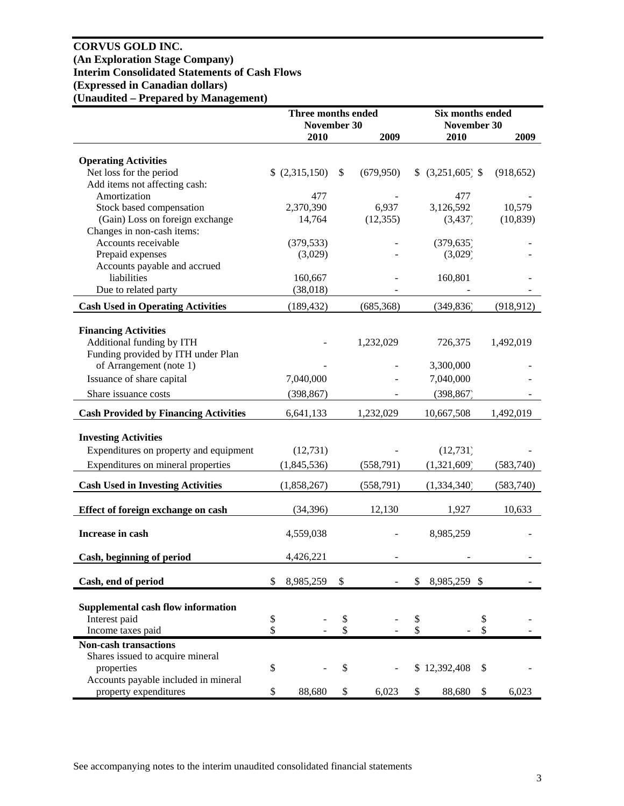## **CORVUS GOLD INC. (An Exploration Stage Company) Interim Consolidated Statements of Cash Flows (Expressed in Canadian dollars) (Unaudited – Prepared by Management)**

|                                              | Three months ended<br>November 30 |             |    | Six months ended<br>November 30 |    |                    |    |            |
|----------------------------------------------|-----------------------------------|-------------|----|---------------------------------|----|--------------------|----|------------|
|                                              |                                   | 2010        |    | 2009                            |    | 2010               |    | 2009       |
|                                              |                                   |             |    |                                 |    |                    |    |            |
| <b>Operating Activities</b>                  |                                   |             |    |                                 |    |                    |    |            |
| Net loss for the period                      |                                   | (2,315,150) | \$ | (679, 950)                      |    | $$ (3,251,605)$ \$ |    | (918, 652) |
| Add items not affecting cash:                |                                   |             |    |                                 |    |                    |    |            |
| Amortization                                 |                                   | 477         |    |                                 |    | 477                |    |            |
| Stock based compensation                     |                                   | 2,370,390   |    | 6,937                           |    | 3,126,592          |    | 10,579     |
| (Gain) Loss on foreign exchange              |                                   | 14,764      |    | (12, 355)                       |    | (3, 437)           |    | (10, 839)  |
| Changes in non-cash items:                   |                                   |             |    |                                 |    |                    |    |            |
| Accounts receivable                          |                                   | (379, 533)  |    |                                 |    | (379, 635)         |    |            |
| Prepaid expenses                             |                                   | (3,029)     |    |                                 |    | (3,029)            |    |            |
| Accounts payable and accrued                 |                                   |             |    |                                 |    |                    |    |            |
| liabilities                                  |                                   | 160,667     |    |                                 |    | 160,801            |    |            |
| Due to related party                         |                                   | (38,018)    |    |                                 |    |                    |    |            |
| <b>Cash Used in Operating Activities</b>     |                                   | (189, 432)  |    | (685, 368)                      |    | (349, 836)         |    | (918, 912) |
|                                              |                                   |             |    |                                 |    |                    |    |            |
| <b>Financing Activities</b>                  |                                   |             |    |                                 |    |                    |    |            |
| Additional funding by ITH                    |                                   |             |    | 1,232,029                       |    | 726,375            |    | 1,492,019  |
| Funding provided by ITH under Plan           |                                   |             |    |                                 |    |                    |    |            |
| of Arrangement (note 1)                      |                                   |             |    |                                 |    | 3,300,000          |    |            |
| Issuance of share capital                    |                                   | 7,040,000   |    |                                 |    | 7,040,000          |    |            |
| Share issuance costs                         |                                   | (398, 867)  |    |                                 |    | (398, 867)         |    |            |
|                                              |                                   |             |    |                                 |    |                    |    |            |
| <b>Cash Provided by Financing Activities</b> |                                   | 6,641,133   |    | 1,232,029                       |    | 10,667,508         |    | 1,492,019  |
| <b>Investing Activities</b>                  |                                   |             |    |                                 |    |                    |    |            |
|                                              |                                   |             |    |                                 |    |                    |    |            |
| Expenditures on property and equipment       |                                   | (12, 731)   |    |                                 |    | (12, 731)          |    |            |
| Expenditures on mineral properties           |                                   | (1,845,536) |    | (558,791)                       |    | (1,321,609)        |    | (583,740)  |
| <b>Cash Used in Investing Activities</b>     |                                   | (1,858,267) |    | (558, 791)                      |    | (1,334,340)        |    | (583,740)  |
|                                              |                                   |             |    |                                 |    |                    |    |            |
| Effect of foreign exchange on cash           |                                   | (34, 396)   |    | 12,130                          |    | 1,927              |    | 10,633     |
| Increase in cash                             |                                   | 4,559,038   |    |                                 |    | 8,985,259          |    |            |
|                                              |                                   |             |    |                                 |    |                    |    |            |
| Cash, beginning of period                    |                                   | 4,426,221   |    |                                 |    |                    |    |            |
| Cash, end of period                          | \$                                | 8,985,259   | \$ |                                 | \$ | 8,985,259 \$       |    |            |
|                                              |                                   |             |    |                                 |    |                    |    |            |
| <b>Supplemental cash flow information</b>    |                                   |             |    |                                 |    |                    |    |            |
| Interest paid                                | \$                                |             | \$ |                                 | \$ |                    | \$ |            |
| Income taxes paid                            | \$                                |             | \$ |                                 | \$ |                    | \$ |            |
| <b>Non-cash transactions</b>                 |                                   |             |    |                                 |    |                    |    |            |
| Shares issued to acquire mineral             |                                   |             |    |                                 |    |                    |    |            |
| properties                                   | \$                                |             | \$ |                                 |    | \$12,392,408       | \$ |            |
| Accounts payable included in mineral         |                                   |             |    |                                 |    |                    |    |            |
| property expenditures                        | \$                                | 88,680      | \$ | 6,023                           | \$ | 88,680             | \$ | 6,023      |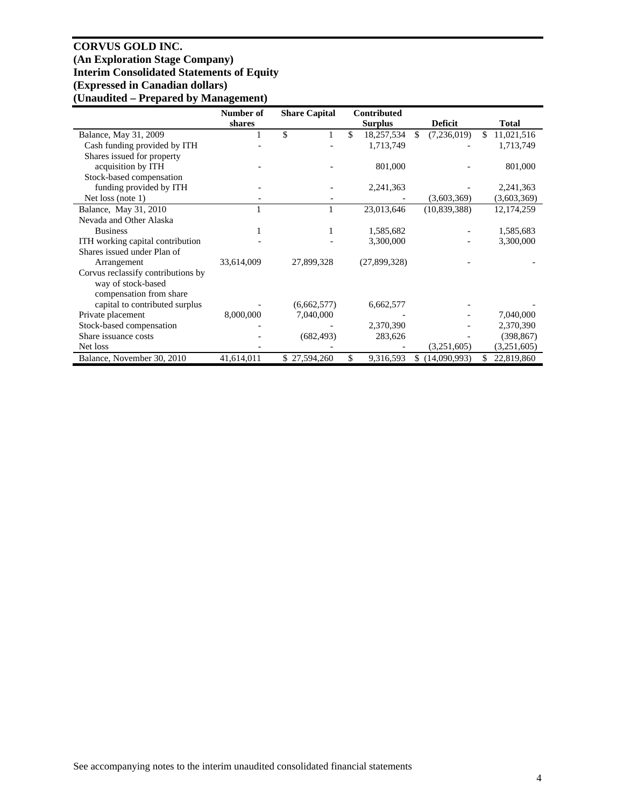## **CORVUS GOLD INC. (An Exploration Stage Company) Interim Consolidated Statements of Equity (Expressed in Canadian dollars) (Unaudited – Prepared by Management)**

|                                    | Number of  | <b>Share Capital</b> | <b>Contributed</b> |                     |                  |
|------------------------------------|------------|----------------------|--------------------|---------------------|------------------|
|                                    | shares     |                      | <b>Surplus</b>     | <b>Deficit</b>      | <b>Total</b>     |
| Balance, May 31, 2009              |            | \$                   | \$<br>18,257,534   | \$.<br>(7,236,019)  | 11,021,516<br>\$ |
| Cash funding provided by ITH       |            |                      | 1,713,749          |                     | 1,713,749        |
| Shares issued for property         |            |                      |                    |                     |                  |
| acquisition by ITH                 |            |                      | 801,000            |                     | 801,000          |
| Stock-based compensation           |            |                      |                    |                     |                  |
| funding provided by ITH            |            |                      | 2,241,363          |                     | 2,241,363        |
| Net loss (note 1)                  |            |                      |                    | (3,603,369)         | (3,603,369)      |
| Balance, May 31, 2010              |            |                      | 23,013,646         | (10, 839, 388)      | 12, 174, 259     |
| Nevada and Other Alaska            |            |                      |                    |                     |                  |
| <b>Business</b>                    |            |                      | 1,585,682          |                     | 1,585,683        |
| ITH working capital contribution   |            |                      | 3,300,000          |                     | 3,300,000        |
| Shares issued under Plan of        |            |                      |                    |                     |                  |
| Arrangement                        | 33,614,009 | 27,899,328           | (27,899,328)       |                     |                  |
| Corvus reclassify contributions by |            |                      |                    |                     |                  |
| way of stock-based                 |            |                      |                    |                     |                  |
| compensation from share            |            |                      |                    |                     |                  |
| capital to contributed surplus     |            | (6,662,577)          | 6,662,577          |                     |                  |
| Private placement                  | 8,000,000  | 7,040,000            |                    |                     | 7,040,000        |
| Stock-based compensation           |            |                      | 2,370,390          |                     | 2,370,390        |
| Share issuance costs               |            | (682, 493)           | 283,626            |                     | (398, 867)       |
| Net loss                           |            |                      |                    | (3,251,605)         | (3,251,605)      |
| Balance, November 30, 2010         | 41,614,011 | 27,594,260<br>\$     | \$<br>9,316,593    | (14,090,993)<br>\$. | 22,819,860<br>\$ |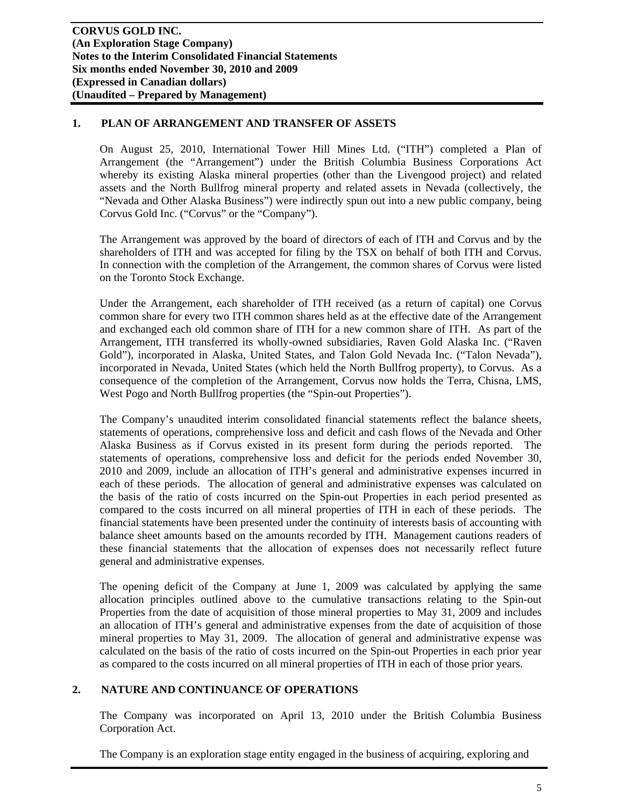## **1. PLAN OF ARRANGEMENT AND TRANSFER OF ASSETS**

On August 25, 2010, International Tower Hill Mines Ltd. ("ITH") completed a Plan of Arrangement (the "Arrangement") under the British Columbia Business Corporations Act whereby its existing Alaska mineral properties (other than the Livengood project) and related assets and the North Bullfrog mineral property and related assets in Nevada (collectively, the "Nevada and Other Alaska Business") were indirectly spun out into a new public company, being Corvus Gold Inc. ("Corvus" or the "Company").

The Arrangement was approved by the board of directors of each of ITH and Corvus and by the shareholders of ITH and was accepted for filing by the TSX on behalf of both ITH and Corvus. In connection with the completion of the Arrangement, the common shares of Corvus were listed on the Toronto Stock Exchange.

Under the Arrangement, each shareholder of ITH received (as a return of capital) one Corvus common share for every two ITH common shares held as at the effective date of the Arrangement and exchanged each old common share of ITH for a new common share of ITH. As part of the Arrangement, ITH transferred its wholly-owned subsidiaries, Raven Gold Alaska Inc. ("Raven Gold"), incorporated in Alaska, United States, and Talon Gold Nevada Inc. ("Talon Nevada"), incorporated in Nevada, United States (which held the North Bullfrog property), to Corvus. As a consequence of the completion of the Arrangement, Corvus now holds the Terra, Chisna, LMS, West Pogo and North Bullfrog properties (the "Spin-out Properties").

The Company's unaudited interim consolidated financial statements reflect the balance sheets, statements of operations, comprehensive loss and deficit and cash flows of the Nevada and Other Alaska Business as if Corvus existed in its present form during the periods reported. The statements of operations, comprehensive loss and deficit for the periods ended November 30, 2010 and 2009, include an allocation of ITH's general and administrative expenses incurred in each of these periods. The allocation of general and administrative expenses was calculated on the basis of the ratio of costs incurred on the Spin-out Properties in each period presented as compared to the costs incurred on all mineral properties of ITH in each of these periods. The financial statements have been presented under the continuity of interests basis of accounting with balance sheet amounts based on the amounts recorded by ITH. Management cautions readers of these financial statements that the allocation of expenses does not necessarily reflect future general and administrative expenses.

The opening deficit of the Company at June 1, 2009 was calculated by applying the same allocation principles outlined above to the cumulative transactions relating to the Spin-out Properties from the date of acquisition of those mineral properties to May 31, 2009 and includes an allocation of ITH's general and administrative expenses from the date of acquisition of those mineral properties to May 31, 2009. The allocation of general and administrative expense was calculated on the basis of the ratio of costs incurred on the Spin-out Properties in each prior year as compared to the costs incurred on all mineral properties of ITH in each of those prior years.

## **2. NATURE AND CONTINUANCE OF OPERATIONS**

The Company was incorporated on April 13, 2010 under the British Columbia Business Corporation Act.

The Company is an exploration stage entity engaged in the business of acquiring, exploring and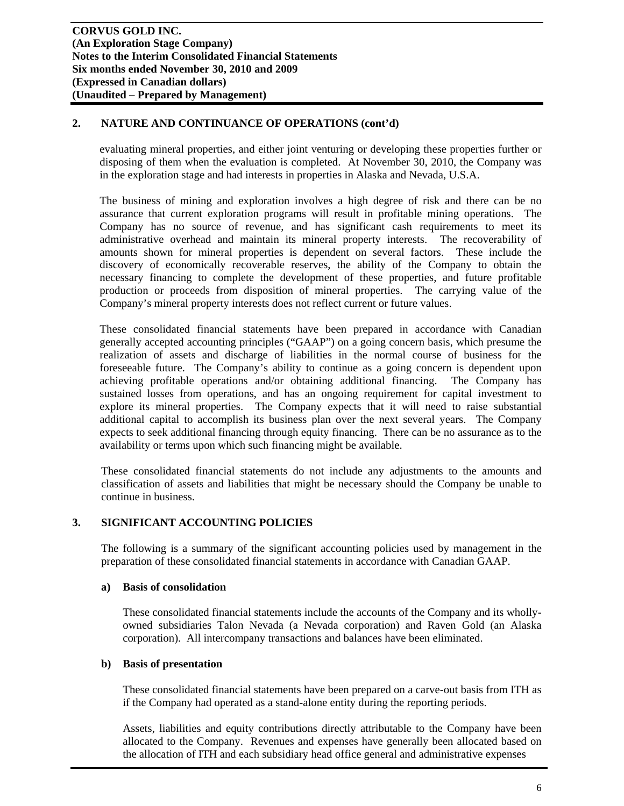## **2. NATURE AND CONTINUANCE OF OPERATIONS (cont'd)**

evaluating mineral properties, and either joint venturing or developing these properties further or disposing of them when the evaluation is completed. At November 30, 2010, the Company was in the exploration stage and had interests in properties in Alaska and Nevada, U.S.A.

The business of mining and exploration involves a high degree of risk and there can be no assurance that current exploration programs will result in profitable mining operations. The Company has no source of revenue, and has significant cash requirements to meet its administrative overhead and maintain its mineral property interests. The recoverability of amounts shown for mineral properties is dependent on several factors. These include the discovery of economically recoverable reserves, the ability of the Company to obtain the necessary financing to complete the development of these properties, and future profitable production or proceeds from disposition of mineral properties. The carrying value of the Company's mineral property interests does not reflect current or future values.

These consolidated financial statements have been prepared in accordance with Canadian generally accepted accounting principles ("GAAP") on a going concern basis, which presume the realization of assets and discharge of liabilities in the normal course of business for the foreseeable future. The Company's ability to continue as a going concern is dependent upon achieving profitable operations and/or obtaining additional financing. The Company has sustained losses from operations, and has an ongoing requirement for capital investment to explore its mineral properties. The Company expects that it will need to raise substantial additional capital to accomplish its business plan over the next several years. The Company expects to seek additional financing through equity financing. There can be no assurance as to the availability or terms upon which such financing might be available.

These consolidated financial statements do not include any adjustments to the amounts and classification of assets and liabilities that might be necessary should the Company be unable to continue in business.

## **3. SIGNIFICANT ACCOUNTING POLICIES**

The following is a summary of the significant accounting policies used by management in the preparation of these consolidated financial statements in accordance with Canadian GAAP.

## **a) Basis of consolidation**

These consolidated financial statements include the accounts of the Company and its whollyowned subsidiaries Talon Nevada (a Nevada corporation) and Raven Gold (an Alaska corporation). All intercompany transactions and balances have been eliminated.

## **b) Basis of presentation**

These consolidated financial statements have been prepared on a carve-out basis from ITH as if the Company had operated as a stand-alone entity during the reporting periods.

Assets, liabilities and equity contributions directly attributable to the Company have been allocated to the Company. Revenues and expenses have generally been allocated based on the allocation of ITH and each subsidiary head office general and administrative expenses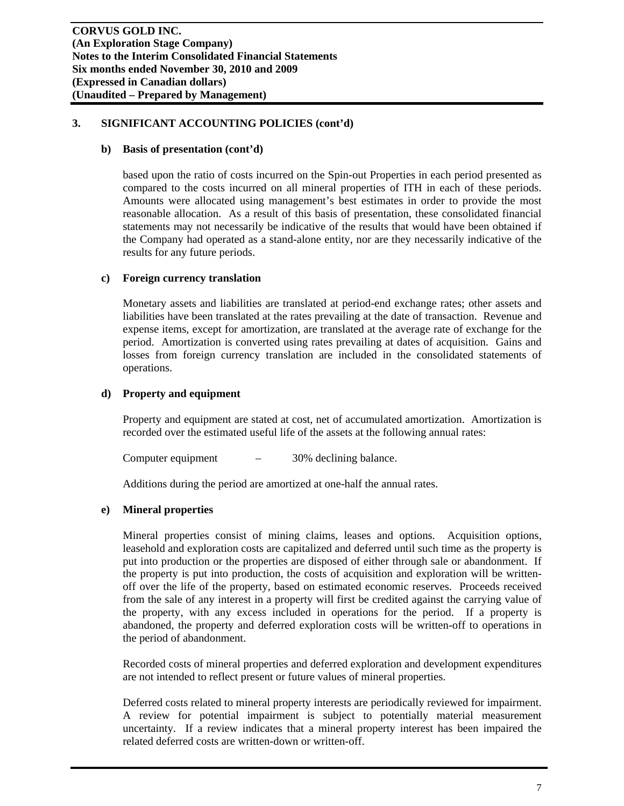### **b) Basis of presentation (cont'd)**

based upon the ratio of costs incurred on the Spin-out Properties in each period presented as compared to the costs incurred on all mineral properties of ITH in each of these periods. Amounts were allocated using management's best estimates in order to provide the most reasonable allocation. As a result of this basis of presentation, these consolidated financial statements may not necessarily be indicative of the results that would have been obtained if the Company had operated as a stand-alone entity, nor are they necessarily indicative of the results for any future periods.

#### **c) Foreign currency translation**

Monetary assets and liabilities are translated at period-end exchange rates; other assets and liabilities have been translated at the rates prevailing at the date of transaction. Revenue and expense items, except for amortization, are translated at the average rate of exchange for the period. Amortization is converted using rates prevailing at dates of acquisition. Gains and losses from foreign currency translation are included in the consolidated statements of operations.

#### **d) Property and equipment**

Property and equipment are stated at cost, net of accumulated amortization. Amortization is recorded over the estimated useful life of the assets at the following annual rates:

Computer equipment  $-$  30% declining balance.

Additions during the period are amortized at one-half the annual rates.

## **e) Mineral properties**

Mineral properties consist of mining claims, leases and options. Acquisition options, leasehold and exploration costs are capitalized and deferred until such time as the property is put into production or the properties are disposed of either through sale or abandonment. If the property is put into production, the costs of acquisition and exploration will be writtenoff over the life of the property, based on estimated economic reserves. Proceeds received from the sale of any interest in a property will first be credited against the carrying value of the property, with any excess included in operations for the period. If a property is abandoned, the property and deferred exploration costs will be written-off to operations in the period of abandonment.

Recorded costs of mineral properties and deferred exploration and development expenditures are not intended to reflect present or future values of mineral properties.

Deferred costs related to mineral property interests are periodically reviewed for impairment. A review for potential impairment is subject to potentially material measurement uncertainty. If a review indicates that a mineral property interest has been impaired the related deferred costs are written-down or written-off.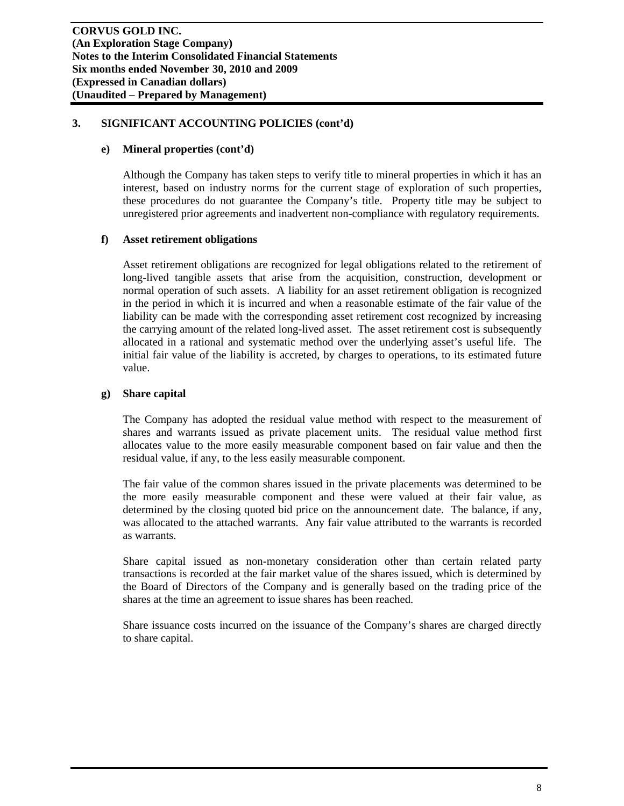## **e) Mineral properties (cont'd)**

Although the Company has taken steps to verify title to mineral properties in which it has an interest, based on industry norms for the current stage of exploration of such properties, these procedures do not guarantee the Company's title. Property title may be subject to unregistered prior agreements and inadvertent non-compliance with regulatory requirements.

## **f) Asset retirement obligations**

Asset retirement obligations are recognized for legal obligations related to the retirement of long-lived tangible assets that arise from the acquisition, construction, development or normal operation of such assets. A liability for an asset retirement obligation is recognized in the period in which it is incurred and when a reasonable estimate of the fair value of the liability can be made with the corresponding asset retirement cost recognized by increasing the carrying amount of the related long-lived asset. The asset retirement cost is subsequently allocated in a rational and systematic method over the underlying asset's useful life. The initial fair value of the liability is accreted, by charges to operations, to its estimated future value.

## **g) Share capital**

The Company has adopted the residual value method with respect to the measurement of shares and warrants issued as private placement units. The residual value method first allocates value to the more easily measurable component based on fair value and then the residual value, if any, to the less easily measurable component.

The fair value of the common shares issued in the private placements was determined to be the more easily measurable component and these were valued at their fair value, as determined by the closing quoted bid price on the announcement date. The balance, if any, was allocated to the attached warrants. Any fair value attributed to the warrants is recorded as warrants.

Share capital issued as non-monetary consideration other than certain related party transactions is recorded at the fair market value of the shares issued, which is determined by the Board of Directors of the Company and is generally based on the trading price of the shares at the time an agreement to issue shares has been reached.

Share issuance costs incurred on the issuance of the Company's shares are charged directly to share capital.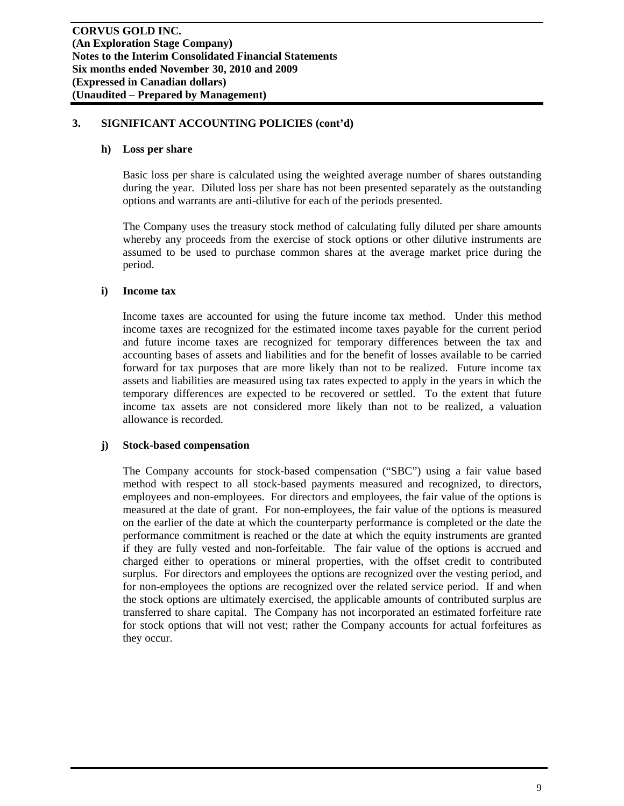#### **h) Loss per share**

Basic loss per share is calculated using the weighted average number of shares outstanding during the year. Diluted loss per share has not been presented separately as the outstanding options and warrants are anti-dilutive for each of the periods presented.

The Company uses the treasury stock method of calculating fully diluted per share amounts whereby any proceeds from the exercise of stock options or other dilutive instruments are assumed to be used to purchase common shares at the average market price during the period.

#### **i) Income tax**

Income taxes are accounted for using the future income tax method. Under this method income taxes are recognized for the estimated income taxes payable for the current period and future income taxes are recognized for temporary differences between the tax and accounting bases of assets and liabilities and for the benefit of losses available to be carried forward for tax purposes that are more likely than not to be realized. Future income tax assets and liabilities are measured using tax rates expected to apply in the years in which the temporary differences are expected to be recovered or settled. To the extent that future income tax assets are not considered more likely than not to be realized, a valuation allowance is recorded.

## **j) Stock-based compensation**

The Company accounts for stock-based compensation ("SBC") using a fair value based method with respect to all stock-based payments measured and recognized, to directors, employees and non-employees. For directors and employees, the fair value of the options is measured at the date of grant. For non-employees, the fair value of the options is measured on the earlier of the date at which the counterparty performance is completed or the date the performance commitment is reached or the date at which the equity instruments are granted if they are fully vested and non-forfeitable. The fair value of the options is accrued and charged either to operations or mineral properties, with the offset credit to contributed surplus. For directors and employees the options are recognized over the vesting period, and for non-employees the options are recognized over the related service period. If and when the stock options are ultimately exercised, the applicable amounts of contributed surplus are transferred to share capital. The Company has not incorporated an estimated forfeiture rate for stock options that will not vest; rather the Company accounts for actual forfeitures as they occur.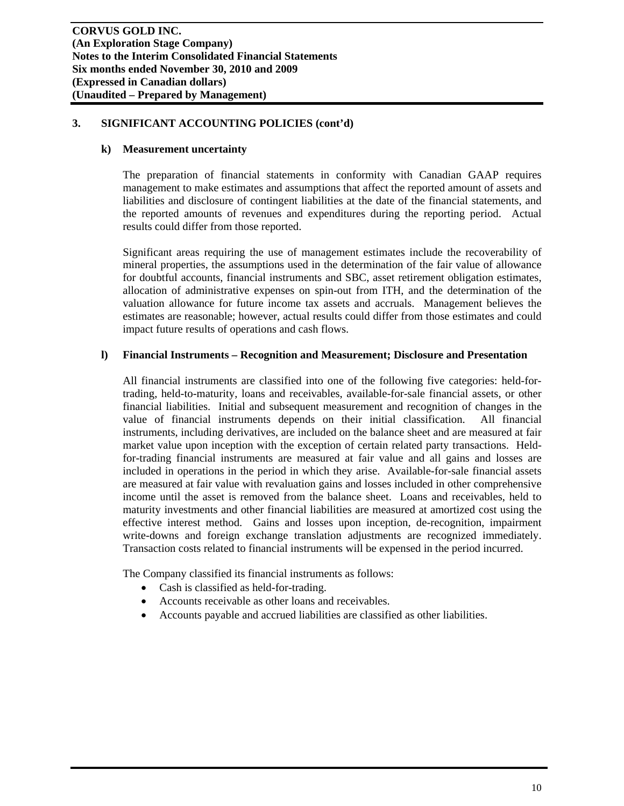### **k) Measurement uncertainty**

The preparation of financial statements in conformity with Canadian GAAP requires management to make estimates and assumptions that affect the reported amount of assets and liabilities and disclosure of contingent liabilities at the date of the financial statements, and the reported amounts of revenues and expenditures during the reporting period. Actual results could differ from those reported.

Significant areas requiring the use of management estimates include the recoverability of mineral properties, the assumptions used in the determination of the fair value of allowance for doubtful accounts, financial instruments and SBC, asset retirement obligation estimates, allocation of administrative expenses on spin-out from ITH, and the determination of the valuation allowance for future income tax assets and accruals. Management believes the estimates are reasonable; however, actual results could differ from those estimates and could impact future results of operations and cash flows.

#### **l) Financial Instruments – Recognition and Measurement; Disclosure and Presentation**

All financial instruments are classified into one of the following five categories: held-fortrading, held-to-maturity, loans and receivables, available-for-sale financial assets, or other financial liabilities. Initial and subsequent measurement and recognition of changes in the value of financial instruments depends on their initial classification. All financial instruments, including derivatives, are included on the balance sheet and are measured at fair market value upon inception with the exception of certain related party transactions. Heldfor-trading financial instruments are measured at fair value and all gains and losses are included in operations in the period in which they arise. Available-for-sale financial assets are measured at fair value with revaluation gains and losses included in other comprehensive income until the asset is removed from the balance sheet. Loans and receivables, held to maturity investments and other financial liabilities are measured at amortized cost using the effective interest method. Gains and losses upon inception, de-recognition, impairment write-downs and foreign exchange translation adjustments are recognized immediately. Transaction costs related to financial instruments will be expensed in the period incurred.

The Company classified its financial instruments as follows:

- Cash is classified as held-for-trading.
- Accounts receivable as other loans and receivables.
- Accounts payable and accrued liabilities are classified as other liabilities.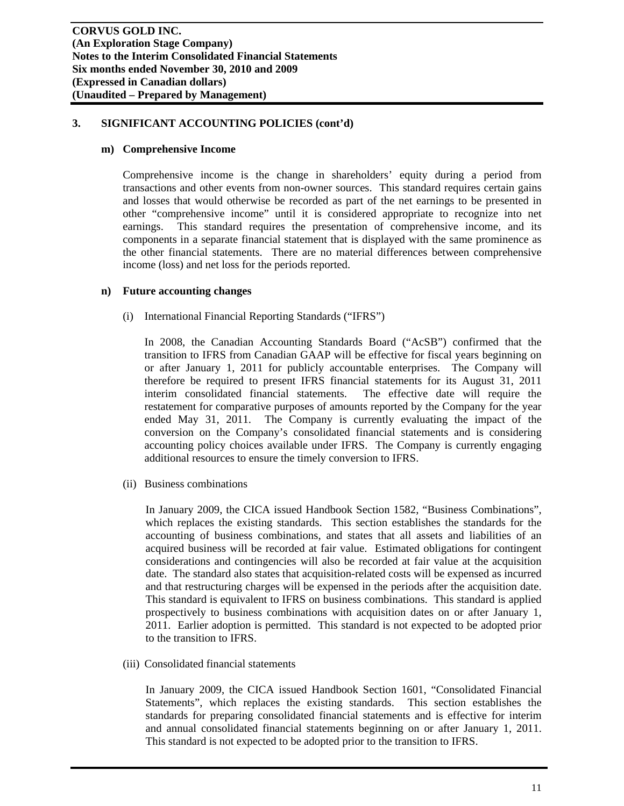## **m) Comprehensive Income**

Comprehensive income is the change in shareholders' equity during a period from transactions and other events from non-owner sources. This standard requires certain gains and losses that would otherwise be recorded as part of the net earnings to be presented in other "comprehensive income" until it is considered appropriate to recognize into net earnings. This standard requires the presentation of comprehensive income, and its components in a separate financial statement that is displayed with the same prominence as the other financial statements. There are no material differences between comprehensive income (loss) and net loss for the periods reported.

## **n) Future accounting changes**

(i) International Financial Reporting Standards ("IFRS")

In 2008, the Canadian Accounting Standards Board ("AcSB") confirmed that the transition to IFRS from Canadian GAAP will be effective for fiscal years beginning on or after January 1, 2011 for publicly accountable enterprises. The Company will therefore be required to present IFRS financial statements for its August 31, 2011 interim consolidated financial statements. The effective date will require the restatement for comparative purposes of amounts reported by the Company for the year ended May 31, 2011. The Company is currently evaluating the impact of the conversion on the Company's consolidated financial statements and is considering accounting policy choices available under IFRS. The Company is currently engaging additional resources to ensure the timely conversion to IFRS.

(ii) Business combinations

In January 2009, the CICA issued Handbook Section 1582, "Business Combinations", which replaces the existing standards. This section establishes the standards for the accounting of business combinations, and states that all assets and liabilities of an acquired business will be recorded at fair value. Estimated obligations for contingent considerations and contingencies will also be recorded at fair value at the acquisition date. The standard also states that acquisition-related costs will be expensed as incurred and that restructuring charges will be expensed in the periods after the acquisition date. This standard is equivalent to IFRS on business combinations. This standard is applied prospectively to business combinations with acquisition dates on or after January 1, 2011. Earlier adoption is permitted. This standard is not expected to be adopted prior to the transition to IFRS.

(iii) Consolidated financial statements

In January 2009, the CICA issued Handbook Section 1601, "Consolidated Financial Statements", which replaces the existing standards. This section establishes the standards for preparing consolidated financial statements and is effective for interim and annual consolidated financial statements beginning on or after January 1, 2011. This standard is not expected to be adopted prior to the transition to IFRS.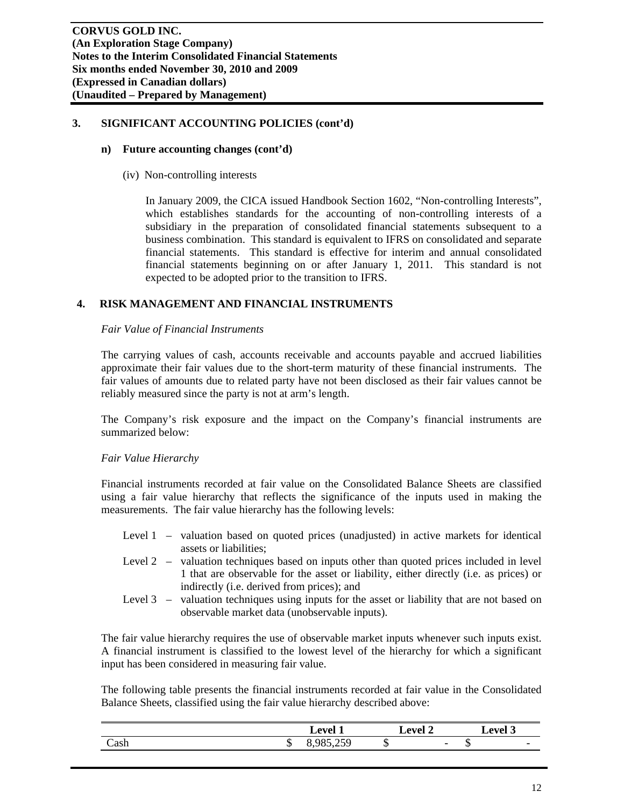### **n) Future accounting changes (cont'd)**

(iv) Non-controlling interests

In January 2009, the CICA issued Handbook Section 1602, "Non-controlling Interests", which establishes standards for the accounting of non-controlling interests of a subsidiary in the preparation of consolidated financial statements subsequent to a business combination. This standard is equivalent to IFRS on consolidated and separate financial statements. This standard is effective for interim and annual consolidated financial statements beginning on or after January 1, 2011. This standard is not expected to be adopted prior to the transition to IFRS.

## **4. RISK MANAGEMENT AND FINANCIAL INSTRUMENTS**

#### *Fair Value of Financial Instruments*

The carrying values of cash, accounts receivable and accounts payable and accrued liabilities approximate their fair values due to the short-term maturity of these financial instruments. The fair values of amounts due to related party have not been disclosed as their fair values cannot be reliably measured since the party is not at arm's length.

The Company's risk exposure and the impact on the Company's financial instruments are summarized below:

## *Fair Value Hierarchy*

Financial instruments recorded at fair value on the Consolidated Balance Sheets are classified using a fair value hierarchy that reflects the significance of the inputs used in making the measurements. The fair value hierarchy has the following levels:

- Level 1 valuation based on quoted prices (unadjusted) in active markets for identical assets or liabilities;
- Level 2 valuation techniques based on inputs other than quoted prices included in level 1 that are observable for the asset or liability, either directly (i.e. as prices) or indirectly (i.e. derived from prices); and
- Level 3 valuation techniques using inputs for the asset or liability that are not based on observable market data (unobservable inputs).

The fair value hierarchy requires the use of observable market inputs whenever such inputs exist. A financial instrument is classified to the lowest level of the hierarchy for which a significant input has been considered in measuring fair value.

The following table presents the financial instruments recorded at fair value in the Consolidated Balance Sheets, classified using the fair value hierarchy described above:

|                               |     | Level                          |                 | ∠evel ′                  | $\degree$ evel $\degree$ |                          |
|-------------------------------|-----|--------------------------------|-----------------|--------------------------|--------------------------|--------------------------|
| $\tilde{\phantom{0}}$<br>Cash | ر ر | $\sim$ $\sim$ $\sim$<br>・・・・・・ | $\sqrt{2}$<br>w | $\overline{\phantom{0}}$ | ۲IJ                      | $\overline{\phantom{0}}$ |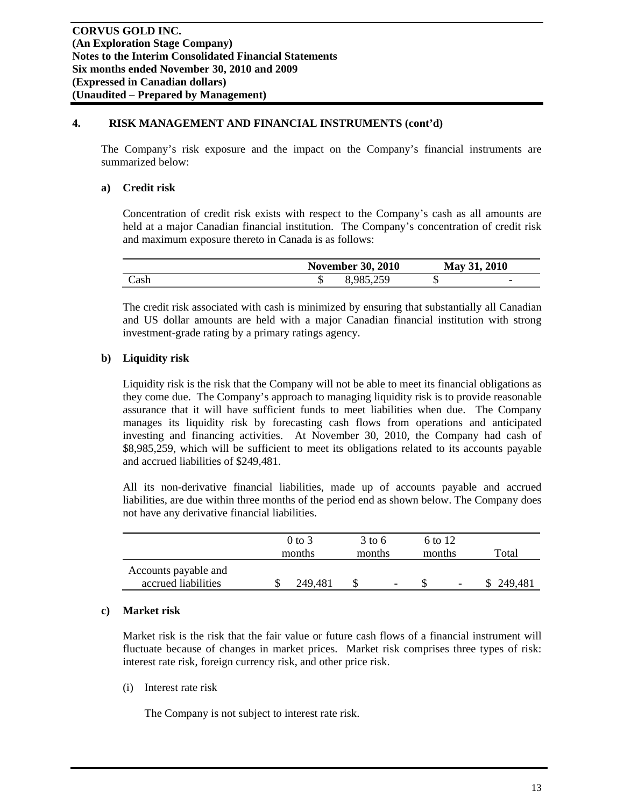## **4. RISK MANAGEMENT AND FINANCIAL INSTRUMENTS (cont'd)**

The Company's risk exposure and the impact on the Company's financial instruments are summarized below:

### **a) Credit risk**

Concentration of credit risk exists with respect to the Company's cash as all amounts are held at a major Canadian financial institution. The Company's concentration of credit risk and maximum exposure thereto in Canada is as follows:

|      | <b>November 30, 2010</b> | May 31, 2010                   |  |  |
|------|--------------------------|--------------------------------|--|--|
| `ash | 8,985,259                | $\overline{\phantom{0}}$<br>ιD |  |  |

The credit risk associated with cash is minimized by ensuring that substantially all Canadian and US dollar amounts are held with a major Canadian financial institution with strong investment-grade rating by a primary ratings agency.

## **b) Liquidity risk**

Liquidity risk is the risk that the Company will not be able to meet its financial obligations as they come due. The Company's approach to managing liquidity risk is to provide reasonable assurance that it will have sufficient funds to meet liabilities when due. The Company manages its liquidity risk by forecasting cash flows from operations and anticipated investing and financing activities. At November 30, 2010, the Company had cash of \$8,985,259, which will be sufficient to meet its obligations related to its accounts payable and accrued liabilities of \$249,481.

All its non-derivative financial liabilities, made up of accounts payable and accrued liabilities, are due within three months of the period end as shown below. The Company does not have any derivative financial liabilities.

|                                             | $0$ to $3$<br>months | $3 \text{ to } 6$<br>months |   | 6 to 12<br>months |                          | Total   |
|---------------------------------------------|----------------------|-----------------------------|---|-------------------|--------------------------|---------|
| Accounts payable and<br>accrued liabilities | 249.481              |                             | - |                   | $\overline{\phantom{a}}$ | 249,481 |

## **c) Market risk**

Market risk is the risk that the fair value or future cash flows of a financial instrument will fluctuate because of changes in market prices. Market risk comprises three types of risk: interest rate risk, foreign currency risk, and other price risk.

(i) Interest rate risk

The Company is not subject to interest rate risk.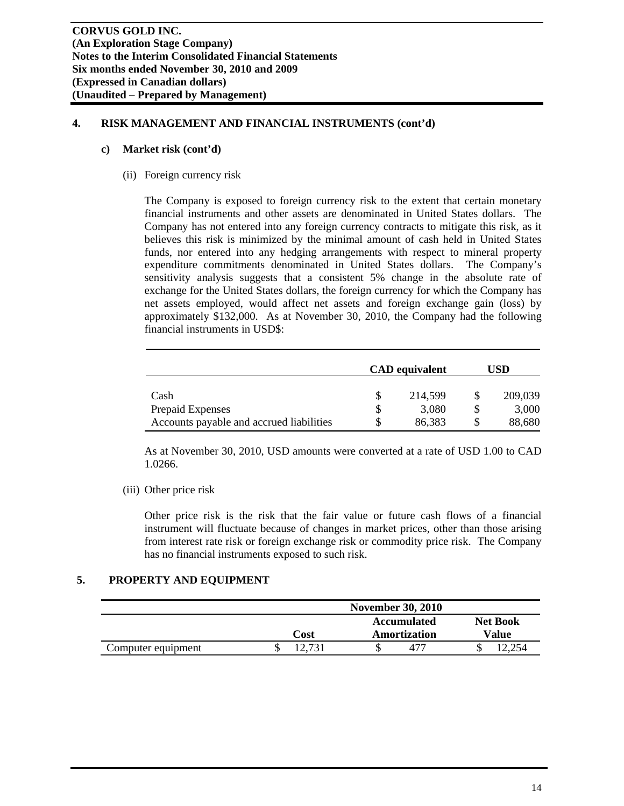## **4. RISK MANAGEMENT AND FINANCIAL INSTRUMENTS (cont'd)**

#### **c) Market risk (cont'd)**

(ii) Foreign currency risk

The Company is exposed to foreign currency risk to the extent that certain monetary financial instruments and other assets are denominated in United States dollars. The Company has not entered into any foreign currency contracts to mitigate this risk, as it believes this risk is minimized by the minimal amount of cash held in United States funds, nor entered into any hedging arrangements with respect to mineral property expenditure commitments denominated in United States dollars. The Company's sensitivity analysis suggests that a consistent 5% change in the absolute rate of exchange for the United States dollars, the foreign currency for which the Company has net assets employed, would affect net assets and foreign exchange gain (loss) by approximately \$132,000. As at November 30, 2010, the Company had the following financial instruments in USD\$:

|                                          | <b>CAD</b> equivalent | USD     |
|------------------------------------------|-----------------------|---------|
| Cash                                     | 214,599               | 209,039 |
| Prepaid Expenses                         | 3,080                 | 3,000   |
| Accounts payable and accrued liabilities | 86,383                | 88,680  |

As at November 30, 2010, USD amounts were converted at a rate of USD 1.00 to CAD 1.0266.

(iii) Other price risk

Other price risk is the risk that the fair value or future cash flows of a financial instrument will fluctuate because of changes in market prices, other than those arising from interest rate risk or foreign exchange risk or commodity price risk. The Company has no financial instruments exposed to such risk.

## **5. PROPERTY AND EQUIPMENT**

|                    | <b>November 30, 2010</b> |                    |                 |  |  |
|--------------------|--------------------------|--------------------|-----------------|--|--|
|                    |                          | <b>Accumulated</b> | <b>Net Book</b> |  |  |
|                    | Cost                     | Amortization       | Value           |  |  |
| Computer equipment |                          | 41.                | ◡               |  |  |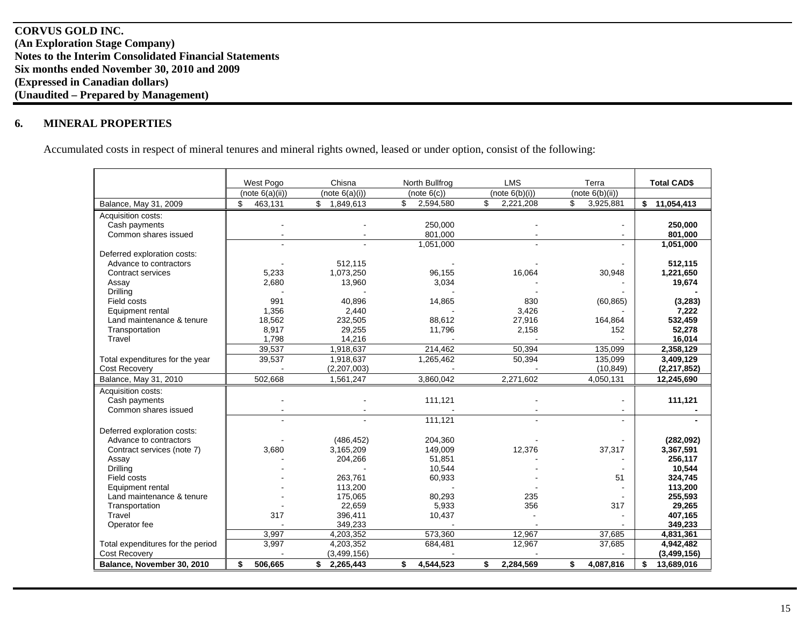#### **6.MINERAL PROPERTIES**

Accumulated costs in respect of mineral tenures and mineral rights owned, leased or under option, consist of the following:

|                                   | West Pogo       | Chisna                    | North Bullfrog  | <b>LMS</b>      | Terra           | <b>Total CAD\$</b> |
|-----------------------------------|-----------------|---------------------------|-----------------|-----------------|-----------------|--------------------|
|                                   | (note 6(a)(ii)) | (note 6(a)(i))            | (note 6(c))     | (note 6(b)(i))  | (note 6(b)(ii)) |                    |
| Balance, May 31, 2009             | \$<br>463,131   | $\mathbb{S}$<br>1,849,613 | \$<br>2,594,580 | \$<br>2,221,208 | \$<br>3,925,881 | \$<br>11,054,413   |
| Acquisition costs:                |                 |                           |                 |                 |                 |                    |
| Cash payments                     |                 |                           | 250,000         |                 |                 | 250,000            |
| Common shares issued              |                 |                           | 801,000         |                 |                 | 801,000            |
|                                   |                 |                           | 1,051,000       |                 |                 | 1,051,000          |
| Deferred exploration costs:       |                 |                           |                 |                 |                 |                    |
| Advance to contractors            |                 | 512,115                   |                 |                 |                 | 512,115            |
| Contract services                 | 5,233           | 1,073,250                 | 96,155          | 16,064          | 30,948          | 1,221,650          |
| Assay                             | 2,680           | 13,960                    | 3,034           |                 |                 | 19,674             |
| Drilling                          |                 |                           |                 |                 |                 |                    |
| Field costs                       | 991             | 40.896                    | 14,865          | 830             | (60, 865)       | (3, 283)           |
| Equipment rental                  | 1,356           | 2,440                     |                 | 3,426           |                 | 7,222              |
| Land maintenance & tenure         | 18,562          | 232,505                   | 88,612          | 27,916          | 164,864         | 532,459            |
| Transportation                    | 8,917           | 29,255                    | 11,796          | 2,158           | 152             | 52,278             |
| Travel                            | 1,798           | 14,216                    |                 |                 |                 | 16,014             |
|                                   | 39,537          | 1,918,637                 | 214,462         | 50.394          | 135,099         | 2,358,129          |
| Total expenditures for the year   | 39,537          | 1,918,637                 | 1,265,462       | 50,394          | 135,099         | 3,409,129          |
| <b>Cost Recovery</b>              |                 | (2,207,003)               |                 |                 | (10, 849)       | (2,217,852)        |
| Balance, May 31, 2010             | 502.668         | 1,561,247                 | 3,860,042       | 2,271,602       | 4,050,131       | 12,245,690         |
| Acquisition costs:                |                 |                           |                 |                 |                 |                    |
| Cash payments                     |                 |                           | 111,121         |                 |                 | 111,121            |
| Common shares issued              |                 |                           |                 |                 |                 |                    |
|                                   |                 |                           | 111,121         |                 |                 |                    |
| Deferred exploration costs:       |                 |                           |                 |                 |                 |                    |
| Advance to contractors            |                 | (486, 452)                | 204,360         |                 |                 | (282,092)          |
| Contract services (note 7)        | 3,680           | 3,165,209                 | 149,009         | 12,376          | 37,317          | 3,367,591          |
| Assay                             |                 | 204,266                   | 51,851          |                 |                 | 256,117            |
| Drilling                          |                 |                           | 10,544          |                 |                 | 10,544             |
| Field costs                       |                 | 263,761                   | 60,933          |                 | 51              | 324,745            |
| Equipment rental                  |                 | 113,200                   |                 |                 |                 | 113,200            |
| Land maintenance & tenure         |                 | 175,065                   | 80,293          | 235             |                 | 255,593            |
| Transportation                    |                 | 22,659                    | 5,933           | 356             | 317             | 29,265             |
| Travel                            | 317             | 396,411                   | 10,437          |                 |                 | 407,165            |
| Operator fee                      |                 | 349,233                   |                 |                 |                 | 349,233            |
|                                   | 3.997           | 4,203,352                 | 573.360         | 12.967          | 37,685          | 4,831,361          |
| Total expenditures for the period | 3,997           | 4,203,352                 | 684,481         | 12,967          | 37,685          | 4,942,482          |
| <b>Cost Recovery</b>              |                 | (3, 499, 156)             |                 |                 |                 | (3,499,156)        |
| Balance. November 30, 2010        | 506,665<br>\$   | \$2,265,443               | \$<br>4.544.523 | \$<br>2.284.569 | 4,087,816<br>\$ | \$<br>13,689,016   |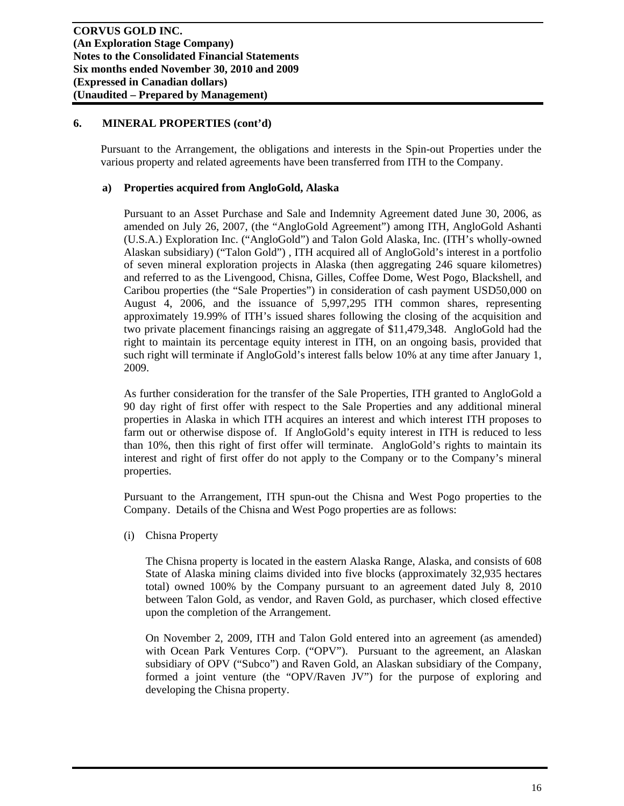Pursuant to the Arrangement, the obligations and interests in the Spin-out Properties under the various property and related agreements have been transferred from ITH to the Company.

## **a) Properties acquired from AngloGold, Alaska**

Pursuant to an Asset Purchase and Sale and Indemnity Agreement dated June 30, 2006, as amended on July 26, 2007, (the "AngloGold Agreement") among ITH, AngloGold Ashanti (U.S.A.) Exploration Inc. ("AngloGold") and Talon Gold Alaska, Inc. (ITH's wholly-owned Alaskan subsidiary) ("Talon Gold") , ITH acquired all of AngloGold's interest in a portfolio of seven mineral exploration projects in Alaska (then aggregating 246 square kilometres) and referred to as the Livengood, Chisna, Gilles, Coffee Dome, West Pogo, Blackshell, and Caribou properties (the "Sale Properties") in consideration of cash payment USD50,000 on August 4, 2006, and the issuance of 5,997,295 ITH common shares, representing approximately 19.99% of ITH's issued shares following the closing of the acquisition and two private placement financings raising an aggregate of \$11,479,348. AngloGold had the right to maintain its percentage equity interest in ITH, on an ongoing basis, provided that such right will terminate if AngloGold's interest falls below 10% at any time after January 1, 2009.

As further consideration for the transfer of the Sale Properties, ITH granted to AngloGold a 90 day right of first offer with respect to the Sale Properties and any additional mineral properties in Alaska in which ITH acquires an interest and which interest ITH proposes to farm out or otherwise dispose of. If AngloGold's equity interest in ITH is reduced to less than 10%, then this right of first offer will terminate. AngloGold's rights to maintain its interest and right of first offer do not apply to the Company or to the Company's mineral properties.

Pursuant to the Arrangement, ITH spun-out the Chisna and West Pogo properties to the Company. Details of the Chisna and West Pogo properties are as follows:

(i) Chisna Property

The Chisna property is located in the eastern Alaska Range, Alaska, and consists of 608 State of Alaska mining claims divided into five blocks (approximately 32,935 hectares total) owned 100% by the Company pursuant to an agreement dated July 8, 2010 between Talon Gold, as vendor, and Raven Gold, as purchaser, which closed effective upon the completion of the Arrangement.

On November 2, 2009, ITH and Talon Gold entered into an agreement (as amended) with Ocean Park Ventures Corp. ("OPV"). Pursuant to the agreement, an Alaskan subsidiary of OPV ("Subco") and Raven Gold, an Alaskan subsidiary of the Company, formed a joint venture (the "OPV/Raven JV") for the purpose of exploring and developing the Chisna property.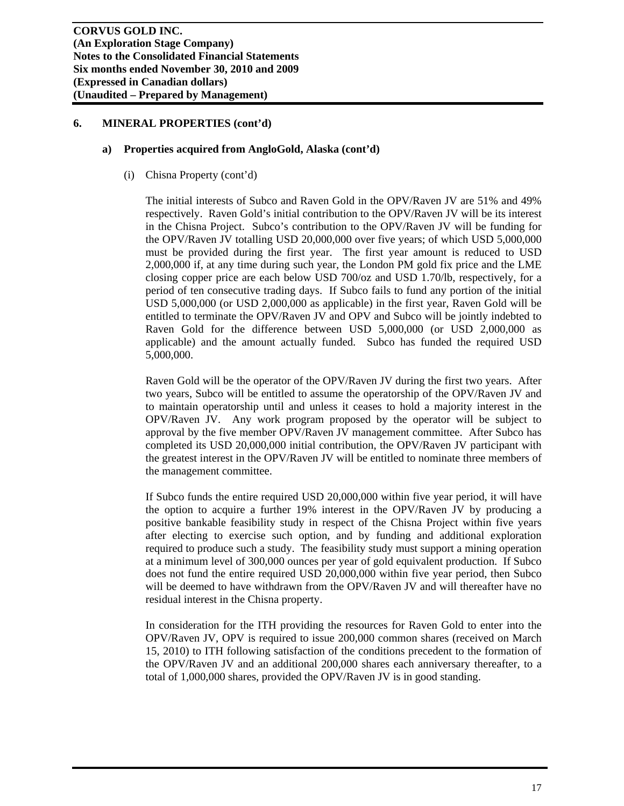#### **a) Properties acquired from AngloGold, Alaska (cont'd)**

(i) Chisna Property (cont'd)

The initial interests of Subco and Raven Gold in the OPV/Raven JV are 51% and 49% respectively. Raven Gold's initial contribution to the OPV/Raven JV will be its interest in the Chisna Project. Subco's contribution to the OPV/Raven JV will be funding for the OPV/Raven JV totalling USD 20,000,000 over five years; of which USD 5,000,000 must be provided during the first year. The first year amount is reduced to USD 2,000,000 if, at any time during such year, the London PM gold fix price and the LME closing copper price are each below USD 700/oz and USD 1.70/lb, respectively, for a period of ten consecutive trading days. If Subco fails to fund any portion of the initial USD 5,000,000 (or USD 2,000,000 as applicable) in the first year, Raven Gold will be entitled to terminate the OPV/Raven JV and OPV and Subco will be jointly indebted to Raven Gold for the difference between USD 5,000,000 (or USD 2,000,000 as applicable) and the amount actually funded. Subco has funded the required USD 5,000,000.

Raven Gold will be the operator of the OPV/Raven JV during the first two years. After two years, Subco will be entitled to assume the operatorship of the OPV/Raven JV and to maintain operatorship until and unless it ceases to hold a majority interest in the OPV/Raven JV. Any work program proposed by the operator will be subject to approval by the five member OPV/Raven JV management committee. After Subco has completed its USD 20,000,000 initial contribution, the OPV/Raven JV participant with the greatest interest in the OPV/Raven JV will be entitled to nominate three members of the management committee.

If Subco funds the entire required USD 20,000,000 within five year period, it will have the option to acquire a further 19% interest in the OPV/Raven JV by producing a positive bankable feasibility study in respect of the Chisna Project within five years after electing to exercise such option, and by funding and additional exploration required to produce such a study. The feasibility study must support a mining operation at a minimum level of 300,000 ounces per year of gold equivalent production. If Subco does not fund the entire required USD 20,000,000 within five year period, then Subco will be deemed to have withdrawn from the OPV/Raven JV and will thereafter have no residual interest in the Chisna property.

In consideration for the ITH providing the resources for Raven Gold to enter into the OPV/Raven JV, OPV is required to issue 200,000 common shares (received on March 15, 2010) to ITH following satisfaction of the conditions precedent to the formation of the OPV/Raven JV and an additional 200,000 shares each anniversary thereafter, to a total of 1,000,000 shares, provided the OPV/Raven JV is in good standing.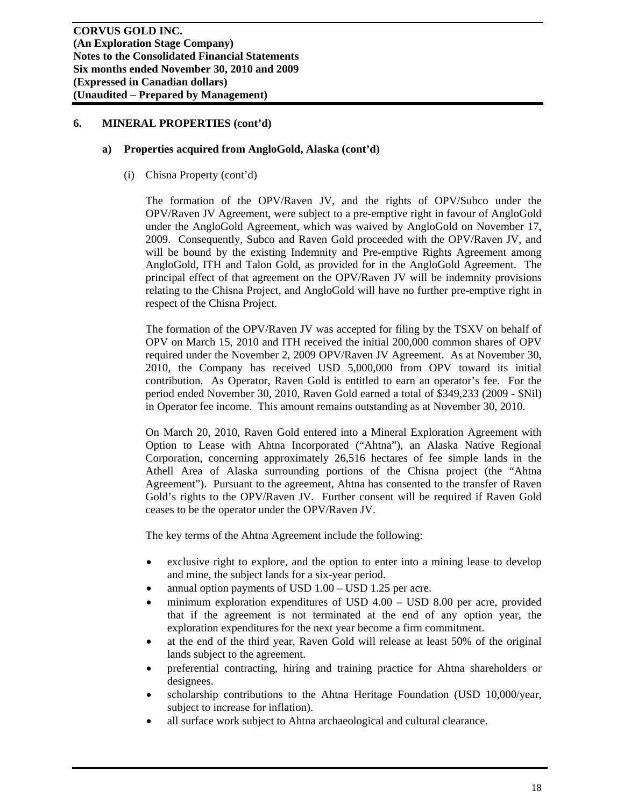#### **a) Properties acquired from AngloGold, Alaska (cont'd)**

(i) Chisna Property (cont'd)

The formation of the OPV/Raven JV, and the rights of OPV/Subco under the OPV/Raven JV Agreement, were subject to a pre-emptive right in favour of AngloGold under the AngloGold Agreement, which was waived by AngloGold on November 17, 2009. Consequently, Subco and Raven Gold proceeded with the OPV/Raven JV, and will be bound by the existing Indemnity and Pre-emptive Rights Agreement among AngloGold, ITH and Talon Gold, as provided for in the AngloGold Agreement. The principal effect of that agreement on the OPV/Raven JV will be indemnity provisions relating to the Chisna Project, and AngloGold will have no further pre-emptive right in respect of the Chisna Project.

The formation of the OPV/Raven JV was accepted for filing by the TSXV on behalf of OPV on March 15, 2010 and ITH received the initial 200,000 common shares of OPV required under the November 2, 2009 OPV/Raven JV Agreement. As at November 30, 2010, the Company has received USD 5,000,000 from OPV toward its initial contribution. As Operator, Raven Gold is entitled to earn an operator's fee. For the period ended November 30, 2010, Raven Gold earned a total of \$349,233 (2009 - \$Nil) in Operator fee income. This amount remains outstanding as at November 30, 2010.

On March 20, 2010, Raven Gold entered into a Mineral Exploration Agreement with Option to Lease with Ahtna Incorporated ("Ahtna"), an Alaska Native Regional Corporation, concerning approximately 26,516 hectares of fee simple lands in the Athell Area of Alaska surrounding portions of the Chisna project (the "Ahtna Agreement"). Pursuant to the agreement, Ahtna has consented to the transfer of Raven Gold's rights to the OPV/Raven JV. Further consent will be required if Raven Gold ceases to be the operator under the OPV/Raven JV.

The key terms of the Ahtna Agreement include the following:

- exclusive right to explore, and the option to enter into a mining lease to develop and mine, the subject lands for a six-year period.
- annual option payments of USD 1.00 USD 1.25 per acre.
- minimum exploration expenditures of USD 4.00 USD 8.00 per acre, provided that if the agreement is not terminated at the end of any option year, the exploration expenditures for the next year become a firm commitment.
- at the end of the third year, Raven Gold will release at least 50% of the original lands subject to the agreement.
- preferential contracting, hiring and training practice for Ahtna shareholders or designees.
- scholarship contributions to the Ahtna Heritage Foundation (USD 10,000/year, subject to increase for inflation).
- all surface work subject to Ahtna archaeological and cultural clearance.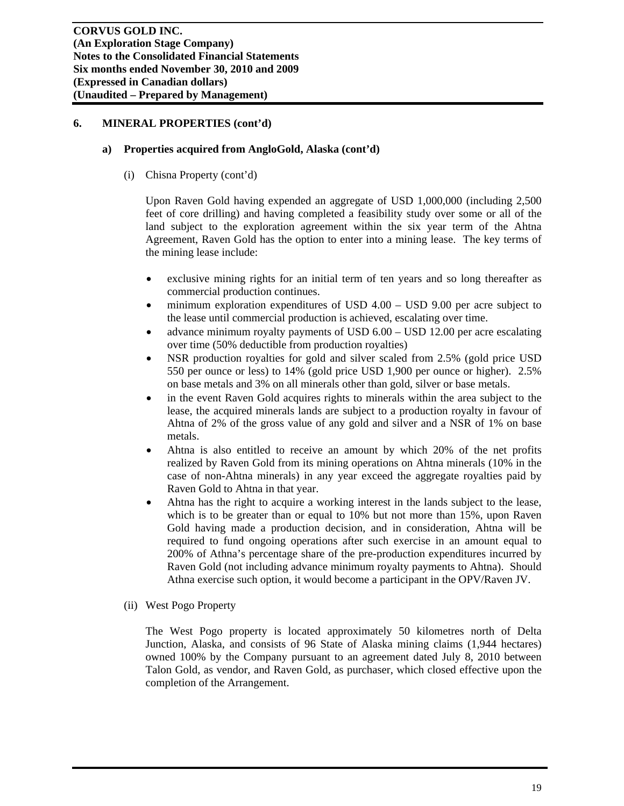#### **a) Properties acquired from AngloGold, Alaska (cont'd)**

(i) Chisna Property (cont'd)

Upon Raven Gold having expended an aggregate of USD 1,000,000 (including 2,500 feet of core drilling) and having completed a feasibility study over some or all of the land subject to the exploration agreement within the six year term of the Ahtna Agreement, Raven Gold has the option to enter into a mining lease. The key terms of the mining lease include:

- exclusive mining rights for an initial term of ten years and so long thereafter as commercial production continues.
- minimum exploration expenditures of USD 4.00 USD 9.00 per acre subject to the lease until commercial production is achieved, escalating over time.
- advance minimum royalty payments of USD 6.00 USD 12.00 per acre escalating over time (50% deductible from production royalties)
- NSR production royalties for gold and silver scaled from 2.5% (gold price USD 550 per ounce or less) to 14% (gold price USD 1,900 per ounce or higher). 2.5% on base metals and 3% on all minerals other than gold, silver or base metals.
- in the event Raven Gold acquires rights to minerals within the area subject to the lease, the acquired minerals lands are subject to a production royalty in favour of Ahtna of 2% of the gross value of any gold and silver and a NSR of 1% on base metals.
- Ahtna is also entitled to receive an amount by which 20% of the net profits realized by Raven Gold from its mining operations on Ahtna minerals (10% in the case of non-Ahtna minerals) in any year exceed the aggregate royalties paid by Raven Gold to Ahtna in that year.
- Ahtna has the right to acquire a working interest in the lands subject to the lease, which is to be greater than or equal to 10% but not more than 15%, upon Raven Gold having made a production decision, and in consideration, Ahtna will be required to fund ongoing operations after such exercise in an amount equal to 200% of Athna's percentage share of the pre-production expenditures incurred by Raven Gold (not including advance minimum royalty payments to Ahtna). Should Athna exercise such option, it would become a participant in the OPV/Raven JV.
- (ii) West Pogo Property

The West Pogo property is located approximately 50 kilometres north of Delta Junction, Alaska, and consists of 96 State of Alaska mining claims (1,944 hectares) owned 100% by the Company pursuant to an agreement dated July 8, 2010 between Talon Gold, as vendor, and Raven Gold, as purchaser, which closed effective upon the completion of the Arrangement.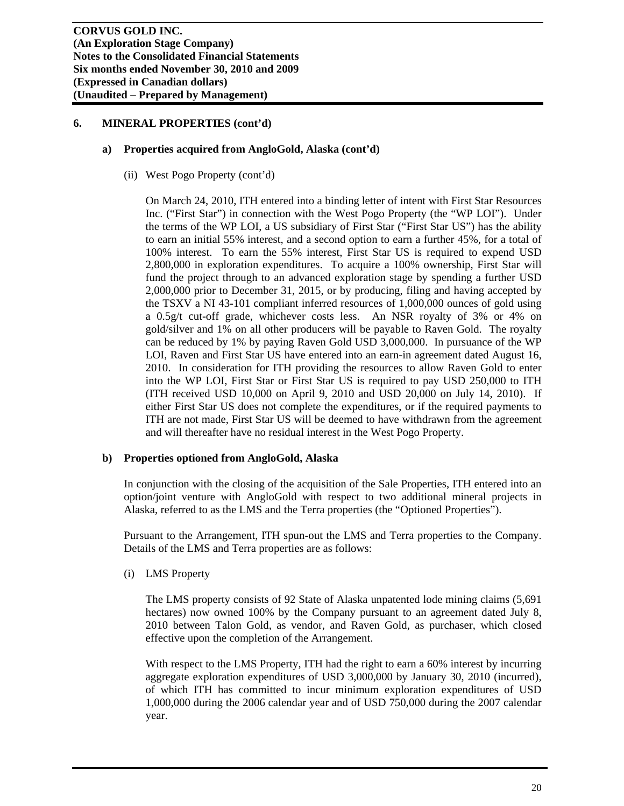#### **a) Properties acquired from AngloGold, Alaska (cont'd)**

(ii) West Pogo Property (cont'd)

On March 24, 2010, ITH entered into a binding letter of intent with First Star Resources Inc. ("First Star") in connection with the West Pogo Property (the "WP LOI"). Under the terms of the WP LOI, a US subsidiary of First Star ("First Star US") has the ability to earn an initial 55% interest, and a second option to earn a further 45%, for a total of 100% interest. To earn the 55% interest, First Star US is required to expend USD 2,800,000 in exploration expenditures. To acquire a 100% ownership, First Star will fund the project through to an advanced exploration stage by spending a further USD 2,000,000 prior to December 31, 2015, or by producing, filing and having accepted by the TSXV a NI 43-101 compliant inferred resources of 1,000,000 ounces of gold using a 0.5g/t cut-off grade, whichever costs less. An NSR royalty of 3% or 4% on gold/silver and 1% on all other producers will be payable to Raven Gold. The royalty can be reduced by 1% by paying Raven Gold USD 3,000,000. In pursuance of the WP LOI, Raven and First Star US have entered into an earn-in agreement dated August 16, 2010. In consideration for ITH providing the resources to allow Raven Gold to enter into the WP LOI, First Star or First Star US is required to pay USD 250,000 to ITH (ITH received USD 10,000 on April 9, 2010 and USD 20,000 on July 14, 2010). If either First Star US does not complete the expenditures, or if the required payments to ITH are not made, First Star US will be deemed to have withdrawn from the agreement and will thereafter have no residual interest in the West Pogo Property.

## **b) Properties optioned from AngloGold, Alaska**

In conjunction with the closing of the acquisition of the Sale Properties, ITH entered into an option/joint venture with AngloGold with respect to two additional mineral projects in Alaska, referred to as the LMS and the Terra properties (the "Optioned Properties").

Pursuant to the Arrangement, ITH spun-out the LMS and Terra properties to the Company. Details of the LMS and Terra properties are as follows:

(i) LMS Property

The LMS property consists of 92 State of Alaska unpatented lode mining claims (5,691 hectares) now owned 100% by the Company pursuant to an agreement dated July 8, 2010 between Talon Gold, as vendor, and Raven Gold, as purchaser, which closed effective upon the completion of the Arrangement.

With respect to the LMS Property, ITH had the right to earn a 60% interest by incurring aggregate exploration expenditures of USD 3,000,000 by January 30, 2010 (incurred), of which ITH has committed to incur minimum exploration expenditures of USD 1,000,000 during the 2006 calendar year and of USD 750,000 during the 2007 calendar year.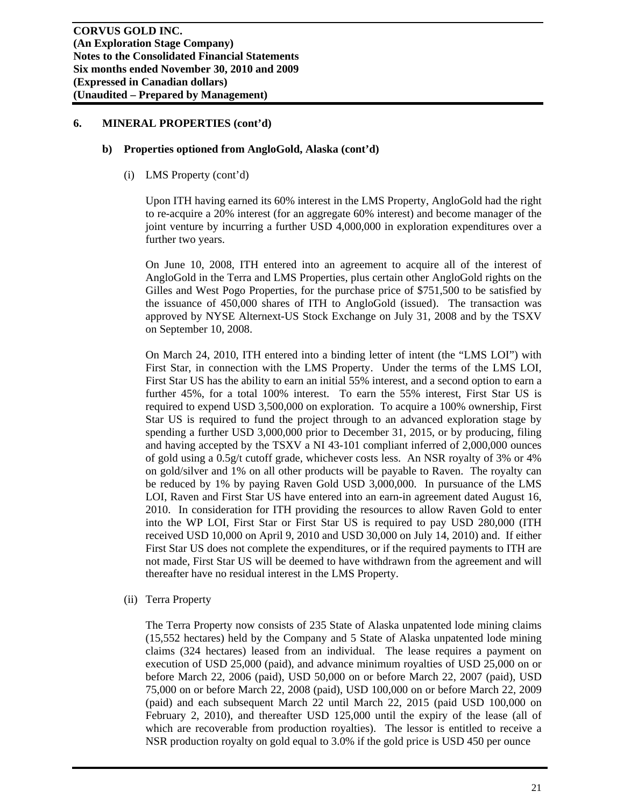#### **b) Properties optioned from AngloGold, Alaska (cont'd)**

(i) LMS Property (cont'd)

Upon ITH having earned its 60% interest in the LMS Property, AngloGold had the right to re-acquire a 20% interest (for an aggregate 60% interest) and become manager of the joint venture by incurring a further USD 4,000,000 in exploration expenditures over a further two years.

On June 10, 2008, ITH entered into an agreement to acquire all of the interest of AngloGold in the Terra and LMS Properties, plus certain other AngloGold rights on the Gilles and West Pogo Properties, for the purchase price of \$751,500 to be satisfied by the issuance of 450,000 shares of ITH to AngloGold (issued). The transaction was approved by NYSE Alternext-US Stock Exchange on July 31, 2008 and by the TSXV on September 10, 2008.

On March 24, 2010, ITH entered into a binding letter of intent (the "LMS LOI") with First Star, in connection with the LMS Property. Under the terms of the LMS LOI, First Star US has the ability to earn an initial 55% interest, and a second option to earn a further 45%, for a total 100% interest. To earn the 55% interest, First Star US is required to expend USD 3,500,000 on exploration. To acquire a 100% ownership, First Star US is required to fund the project through to an advanced exploration stage by spending a further USD 3,000,000 prior to December 31, 2015, or by producing, filing and having accepted by the TSXV a NI 43-101 compliant inferred of 2,000,000 ounces of gold using a 0.5g/t cutoff grade, whichever costs less. An NSR royalty of 3% or 4% on gold/silver and 1% on all other products will be payable to Raven. The royalty can be reduced by 1% by paying Raven Gold USD 3,000,000. In pursuance of the LMS LOI, Raven and First Star US have entered into an earn-in agreement dated August 16, 2010. In consideration for ITH providing the resources to allow Raven Gold to enter into the WP LOI, First Star or First Star US is required to pay USD 280,000 (ITH received USD 10,000 on April 9, 2010 and USD 30,000 on July 14, 2010) and. If either First Star US does not complete the expenditures, or if the required payments to ITH are not made, First Star US will be deemed to have withdrawn from the agreement and will thereafter have no residual interest in the LMS Property.

(ii) Terra Property

The Terra Property now consists of 235 State of Alaska unpatented lode mining claims (15,552 hectares) held by the Company and 5 State of Alaska unpatented lode mining claims (324 hectares) leased from an individual. The lease requires a payment on execution of USD 25,000 (paid), and advance minimum royalties of USD 25,000 on or before March 22, 2006 (paid), USD 50,000 on or before March 22, 2007 (paid), USD 75,000 on or before March 22, 2008 (paid), USD 100,000 on or before March 22, 2009 (paid) and each subsequent March 22 until March 22, 2015 (paid USD 100,000 on February 2, 2010), and thereafter USD 125,000 until the expiry of the lease (all of which are recoverable from production royalties). The lessor is entitled to receive a NSR production royalty on gold equal to 3.0% if the gold price is USD 450 per ounce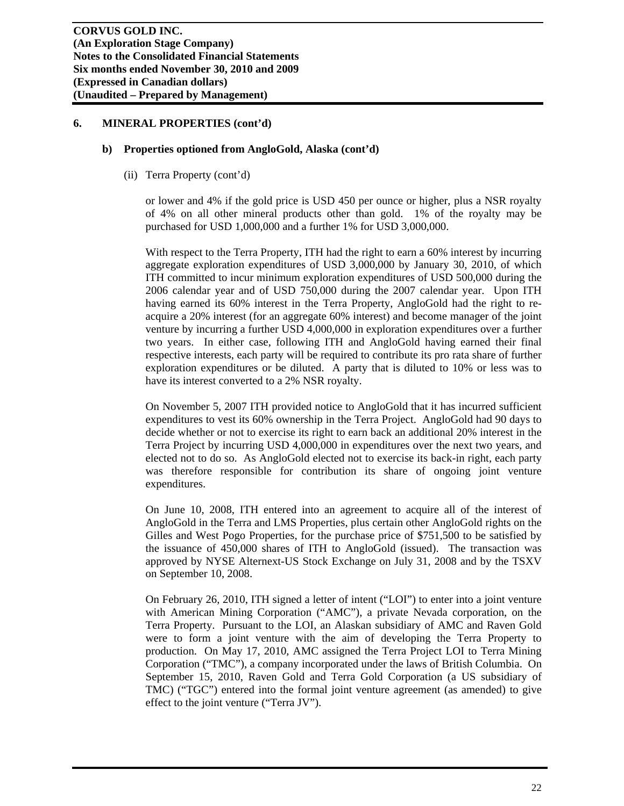#### **b) Properties optioned from AngloGold, Alaska (cont'd)**

(ii) Terra Property (cont'd)

or lower and 4% if the gold price is USD 450 per ounce or higher, plus a NSR royalty of 4% on all other mineral products other than gold. 1% of the royalty may be purchased for USD 1,000,000 and a further 1% for USD 3,000,000.

With respect to the Terra Property, ITH had the right to earn a 60% interest by incurring aggregate exploration expenditures of USD 3,000,000 by January 30, 2010, of which ITH committed to incur minimum exploration expenditures of USD 500,000 during the 2006 calendar year and of USD 750,000 during the 2007 calendar year. Upon ITH having earned its 60% interest in the Terra Property, AngloGold had the right to reacquire a 20% interest (for an aggregate 60% interest) and become manager of the joint venture by incurring a further USD 4,000,000 in exploration expenditures over a further two years. In either case, following ITH and AngloGold having earned their final respective interests, each party will be required to contribute its pro rata share of further exploration expenditures or be diluted. A party that is diluted to 10% or less was to have its interest converted to a 2% NSR royalty.

On November 5, 2007 ITH provided notice to AngloGold that it has incurred sufficient expenditures to vest its 60% ownership in the Terra Project. AngloGold had 90 days to decide whether or not to exercise its right to earn back an additional 20% interest in the Terra Project by incurring USD 4,000,000 in expenditures over the next two years, and elected not to do so. As AngloGold elected not to exercise its back-in right, each party was therefore responsible for contribution its share of ongoing joint venture expenditures.

On June 10, 2008, ITH entered into an agreement to acquire all of the interest of AngloGold in the Terra and LMS Properties, plus certain other AngloGold rights on the Gilles and West Pogo Properties, for the purchase price of \$751,500 to be satisfied by the issuance of 450,000 shares of ITH to AngloGold (issued). The transaction was approved by NYSE Alternext-US Stock Exchange on July 31, 2008 and by the TSXV on September 10, 2008.

On February 26, 2010, ITH signed a letter of intent ("LOI") to enter into a joint venture with American Mining Corporation ("AMC"), a private Nevada corporation, on the Terra Property. Pursuant to the LOI, an Alaskan subsidiary of AMC and Raven Gold were to form a joint venture with the aim of developing the Terra Property to production. On May 17, 2010, AMC assigned the Terra Project LOI to Terra Mining Corporation ("TMC"), a company incorporated under the laws of British Columbia. On September 15, 2010, Raven Gold and Terra Gold Corporation (a US subsidiary of TMC) ("TGC") entered into the formal joint venture agreement (as amended) to give effect to the joint venture ("Terra JV").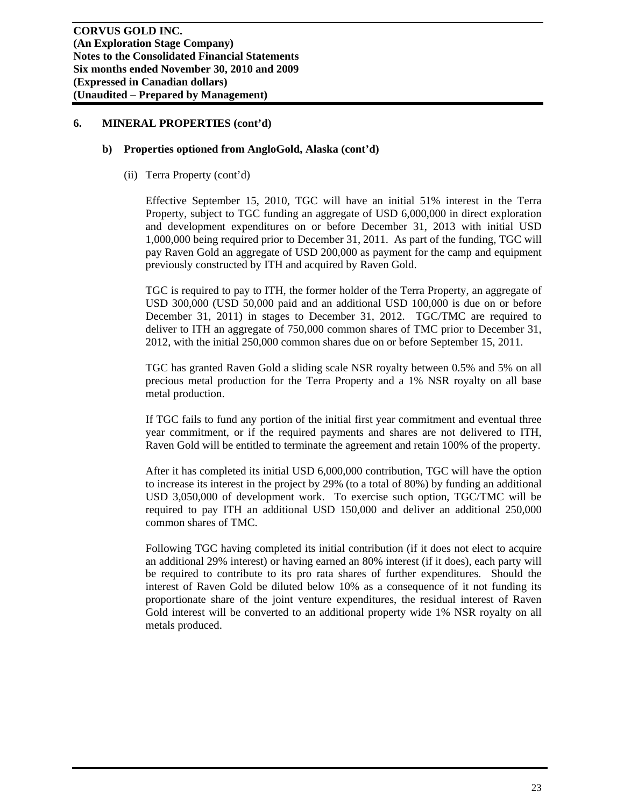#### **b) Properties optioned from AngloGold, Alaska (cont'd)**

(ii) Terra Property (cont'd)

Effective September 15, 2010, TGC will have an initial 51% interest in the Terra Property, subject to TGC funding an aggregate of USD 6,000,000 in direct exploration and development expenditures on or before December 31, 2013 with initial USD 1,000,000 being required prior to December 31, 2011. As part of the funding, TGC will pay Raven Gold an aggregate of USD 200,000 as payment for the camp and equipment previously constructed by ITH and acquired by Raven Gold.

TGC is required to pay to ITH, the former holder of the Terra Property, an aggregate of USD 300,000 (USD 50,000 paid and an additional USD 100,000 is due on or before December 31, 2011) in stages to December 31, 2012. TGC/TMC are required to deliver to ITH an aggregate of 750,000 common shares of TMC prior to December 31, 2012, with the initial 250,000 common shares due on or before September 15, 2011.

TGC has granted Raven Gold a sliding scale NSR royalty between 0.5% and 5% on all precious metal production for the Terra Property and a 1% NSR royalty on all base metal production.

If TGC fails to fund any portion of the initial first year commitment and eventual three year commitment, or if the required payments and shares are not delivered to ITH, Raven Gold will be entitled to terminate the agreement and retain 100% of the property.

After it has completed its initial USD 6,000,000 contribution, TGC will have the option to increase its interest in the project by 29% (to a total of 80%) by funding an additional USD 3,050,000 of development work. To exercise such option, TGC/TMC will be required to pay ITH an additional USD 150,000 and deliver an additional 250,000 common shares of TMC.

Following TGC having completed its initial contribution (if it does not elect to acquire an additional 29% interest) or having earned an 80% interest (if it does), each party will be required to contribute to its pro rata shares of further expenditures. Should the interest of Raven Gold be diluted below 10% as a consequence of it not funding its proportionate share of the joint venture expenditures, the residual interest of Raven Gold interest will be converted to an additional property wide 1% NSR royalty on all metals produced.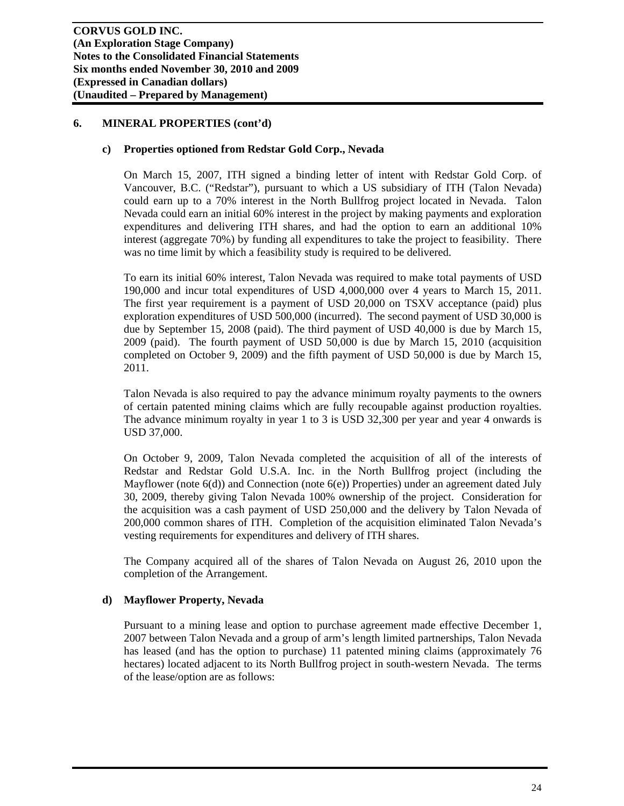#### **c) Properties optioned from Redstar Gold Corp., Nevada**

On March 15, 2007, ITH signed a binding letter of intent with Redstar Gold Corp. of Vancouver, B.C. ("Redstar"), pursuant to which a US subsidiary of ITH (Talon Nevada) could earn up to a 70% interest in the North Bullfrog project located in Nevada. Talon Nevada could earn an initial 60% interest in the project by making payments and exploration expenditures and delivering ITH shares, and had the option to earn an additional 10% interest (aggregate 70%) by funding all expenditures to take the project to feasibility. There was no time limit by which a feasibility study is required to be delivered.

To earn its initial 60% interest, Talon Nevada was required to make total payments of USD 190,000 and incur total expenditures of USD 4,000,000 over 4 years to March 15, 2011. The first year requirement is a payment of USD 20,000 on TSXV acceptance (paid) plus exploration expenditures of USD 500,000 (incurred). The second payment of USD 30,000 is due by September 15, 2008 (paid). The third payment of USD 40,000 is due by March 15, 2009 (paid). The fourth payment of USD 50,000 is due by March 15, 2010 (acquisition completed on October 9, 2009) and the fifth payment of USD 50,000 is due by March 15, 2011.

Talon Nevada is also required to pay the advance minimum royalty payments to the owners of certain patented mining claims which are fully recoupable against production royalties. The advance minimum royalty in year 1 to 3 is USD 32,300 per year and year 4 onwards is USD 37,000.

On October 9, 2009, Talon Nevada completed the acquisition of all of the interests of Redstar and Redstar Gold U.S.A. Inc. in the North Bullfrog project (including the Mayflower (note 6(d)) and Connection (note 6(e)) Properties) under an agreement dated July 30, 2009, thereby giving Talon Nevada 100% ownership of the project. Consideration for the acquisition was a cash payment of USD 250,000 and the delivery by Talon Nevada of 200,000 common shares of ITH. Completion of the acquisition eliminated Talon Nevada's vesting requirements for expenditures and delivery of ITH shares.

The Company acquired all of the shares of Talon Nevada on August 26, 2010 upon the completion of the Arrangement.

## **d) Mayflower Property, Nevada**

Pursuant to a mining lease and option to purchase agreement made effective December 1, 2007 between Talon Nevada and a group of arm's length limited partnerships, Talon Nevada has leased (and has the option to purchase) 11 patented mining claims (approximately 76 hectares) located adjacent to its North Bullfrog project in south-western Nevada. The terms of the lease/option are as follows: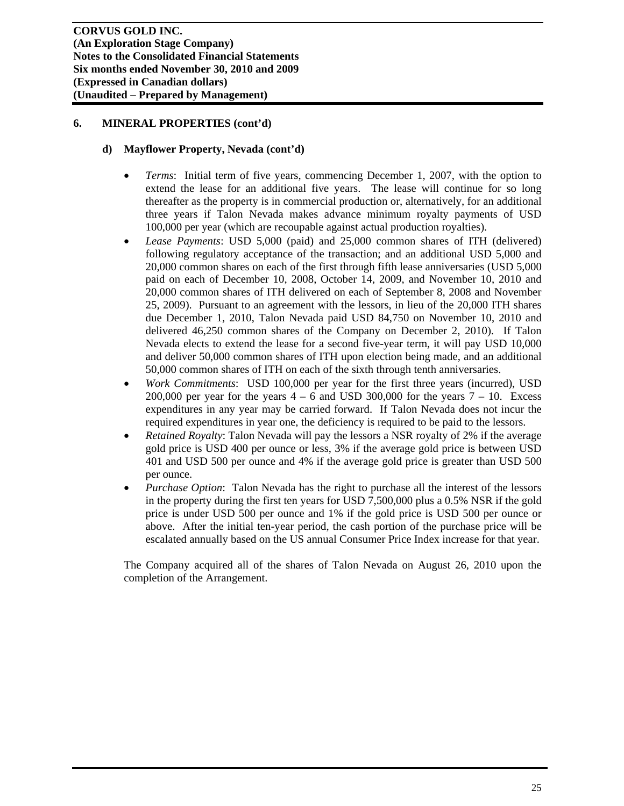## **d) Mayflower Property, Nevada (cont'd)**

- *Terms*: Initial term of five years, commencing December 1, 2007, with the option to extend the lease for an additional five years. The lease will continue for so long thereafter as the property is in commercial production or, alternatively, for an additional three years if Talon Nevada makes advance minimum royalty payments of USD 100,000 per year (which are recoupable against actual production royalties).
- *Lease Payments*: USD 5,000 (paid) and 25,000 common shares of ITH (delivered) following regulatory acceptance of the transaction; and an additional USD 5,000 and 20,000 common shares on each of the first through fifth lease anniversaries (USD 5,000 paid on each of December 10, 2008, October 14, 2009, and November 10, 2010 and 20,000 common shares of ITH delivered on each of September 8, 2008 and November 25, 2009). Pursuant to an agreement with the lessors, in lieu of the 20,000 ITH shares due December 1, 2010, Talon Nevada paid USD 84,750 on November 10, 2010 and delivered 46,250 common shares of the Company on December 2, 2010). If Talon Nevada elects to extend the lease for a second five-year term, it will pay USD 10,000 and deliver 50,000 common shares of ITH upon election being made, and an additional 50,000 common shares of ITH on each of the sixth through tenth anniversaries.
- *Work Commitments*: USD 100,000 per year for the first three years (incurred), USD 200,000 per year for the years  $4 - 6$  and USD 300,000 for the years  $7 - 10$ . Excess expenditures in any year may be carried forward. If Talon Nevada does not incur the required expenditures in year one, the deficiency is required to be paid to the lessors.
- *Retained Royalty*: Talon Nevada will pay the lessors a NSR royalty of 2% if the average gold price is USD 400 per ounce or less, 3% if the average gold price is between USD 401 and USD 500 per ounce and 4% if the average gold price is greater than USD 500 per ounce.
- *Purchase Option*: Talon Nevada has the right to purchase all the interest of the lessors in the property during the first ten years for USD 7,500,000 plus a 0.5% NSR if the gold price is under USD 500 per ounce and 1% if the gold price is USD 500 per ounce or above. After the initial ten-year period, the cash portion of the purchase price will be escalated annually based on the US annual Consumer Price Index increase for that year.

The Company acquired all of the shares of Talon Nevada on August 26, 2010 upon the completion of the Arrangement.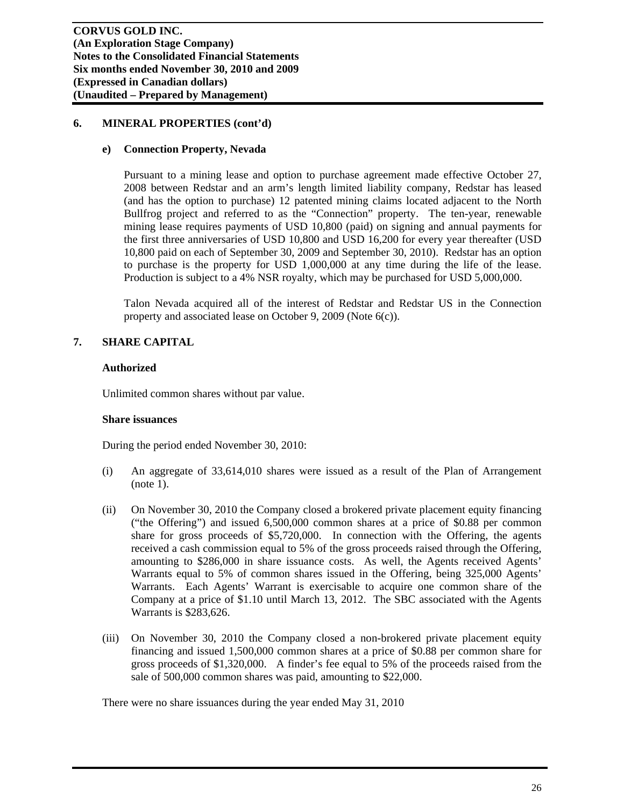#### **e) Connection Property, Nevada**

Pursuant to a mining lease and option to purchase agreement made effective October 27, 2008 between Redstar and an arm's length limited liability company, Redstar has leased (and has the option to purchase) 12 patented mining claims located adjacent to the North Bullfrog project and referred to as the "Connection" property. The ten-year, renewable mining lease requires payments of USD 10,800 (paid) on signing and annual payments for the first three anniversaries of USD 10,800 and USD 16,200 for every year thereafter (USD 10,800 paid on each of September 30, 2009 and September 30, 2010). Redstar has an option to purchase is the property for USD 1,000,000 at any time during the life of the lease. Production is subject to a 4% NSR royalty, which may be purchased for USD 5,000,000.

Talon Nevada acquired all of the interest of Redstar and Redstar US in the Connection property and associated lease on October 9, 2009 (Note 6(c)).

## **7. SHARE CAPITAL**

#### **Authorized**

Unlimited common shares without par value.

#### **Share issuances**

During the period ended November 30, 2010:

- (i) An aggregate of 33,614,010 shares were issued as a result of the Plan of Arrangement (note 1).
- (ii) On November 30, 2010 the Company closed a brokered private placement equity financing ("the Offering") and issued 6,500,000 common shares at a price of \$0.88 per common share for gross proceeds of \$5,720,000. In connection with the Offering, the agents received a cash commission equal to 5% of the gross proceeds raised through the Offering, amounting to \$286,000 in share issuance costs. As well, the Agents received Agents' Warrants equal to 5% of common shares issued in the Offering, being 325,000 Agents' Warrants. Each Agents' Warrant is exercisable to acquire one common share of the Company at a price of \$1.10 until March 13, 2012. The SBC associated with the Agents Warrants is \$283,626.
- (iii) On November 30, 2010 the Company closed a non-brokered private placement equity financing and issued 1,500,000 common shares at a price of \$0.88 per common share for gross proceeds of \$1,320,000. A finder's fee equal to 5% of the proceeds raised from the sale of 500,000 common shares was paid, amounting to \$22,000.

There were no share issuances during the year ended May 31, 2010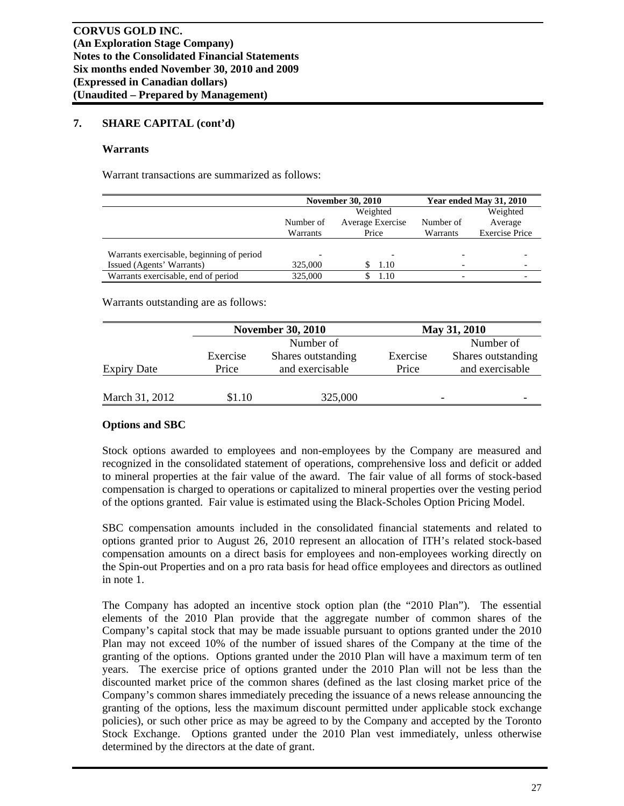## **7. SHARE CAPITAL (cont'd)**

#### **Warrants**

Warrant transactions are summarized as follows:

|                                           |           | <b>November 30, 2010</b> | Year ended May 31, 2010 |                       |  |
|-------------------------------------------|-----------|--------------------------|-------------------------|-----------------------|--|
|                                           |           | Weighted                 |                         |                       |  |
|                                           | Number of | Average Exercise         | Number of               | Average               |  |
|                                           | Warrants  | Price                    | Warrants                | <b>Exercise Price</b> |  |
|                                           |           |                          |                         |                       |  |
| Warrants exercisable, beginning of period |           |                          |                         |                       |  |
| Issued (Agents' Warrants)                 | 325,000   | 1.10                     |                         |                       |  |
| Warrants exercisable, end of period       | 325,000   | 1.10                     |                         |                       |  |

Warrants outstanding are as follows:

|                    |          | <b>November 30, 2010</b> |          | May 31, 2010       |
|--------------------|----------|--------------------------|----------|--------------------|
|                    |          | Number of                |          | Number of          |
|                    | Exercise | Shares outstanding       | Exercise | Shares outstanding |
| <b>Expiry Date</b> | Price    | and exercisable          | Price    | and exercisable    |
|                    |          |                          |          |                    |
| March 31, 2012     | \$1.10   | 325,000                  |          |                    |

## **Options and SBC**

Stock options awarded to employees and non-employees by the Company are measured and recognized in the consolidated statement of operations, comprehensive loss and deficit or added to mineral properties at the fair value of the award. The fair value of all forms of stock-based compensation is charged to operations or capitalized to mineral properties over the vesting period of the options granted. Fair value is estimated using the Black-Scholes Option Pricing Model.

SBC compensation amounts included in the consolidated financial statements and related to options granted prior to August 26, 2010 represent an allocation of ITH's related stock-based compensation amounts on a direct basis for employees and non-employees working directly on the Spin-out Properties and on a pro rata basis for head office employees and directors as outlined in note 1.

The Company has adopted an incentive stock option plan (the "2010 Plan"). The essential elements of the 2010 Plan provide that the aggregate number of common shares of the Company's capital stock that may be made issuable pursuant to options granted under the 2010 Plan may not exceed 10% of the number of issued shares of the Company at the time of the granting of the options. Options granted under the 2010 Plan will have a maximum term of ten years. The exercise price of options granted under the 2010 Plan will not be less than the discounted market price of the common shares (defined as the last closing market price of the Company's common shares immediately preceding the issuance of a news release announcing the granting of the options, less the maximum discount permitted under applicable stock exchange policies), or such other price as may be agreed to by the Company and accepted by the Toronto Stock Exchange. Options granted under the 2010 Plan vest immediately, unless otherwise determined by the directors at the date of grant.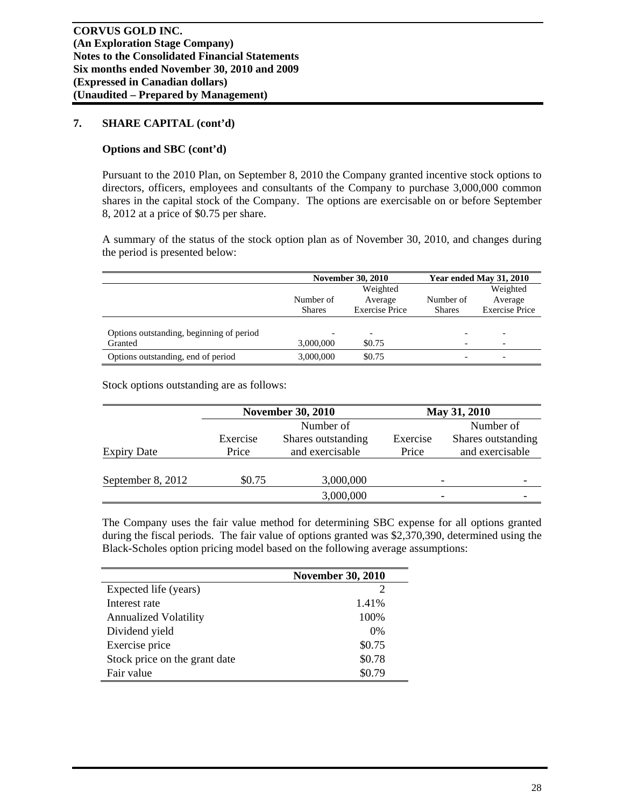## **7. SHARE CAPITAL (cont'd)**

## **Options and SBC (cont'd)**

Pursuant to the 2010 Plan, on September 8, 2010 the Company granted incentive stock options to directors, officers, employees and consultants of the Company to purchase 3,000,000 common shares in the capital stock of the Company. The options are exercisable on or before September 8, 2012 at a price of \$0.75 per share.

A summary of the status of the stock option plan as of November 30, 2010, and changes during the period is presented below:

|                                          |               | <b>November 30, 2010</b> |               | Year ended May 31, 2010  |
|------------------------------------------|---------------|--------------------------|---------------|--------------------------|
|                                          | Weighted      |                          |               | Weighted                 |
|                                          | Number of     | Average                  | Number of     | Average                  |
|                                          | <b>Shares</b> | <b>Exercise Price</b>    | <b>Shares</b> | <b>Exercise Price</b>    |
|                                          |               |                          |               |                          |
| Options outstanding, beginning of period |               |                          |               |                          |
| Granted                                  | 3,000,000     | \$0.75                   |               | $\overline{\phantom{0}}$ |
| Options outstanding, end of period       | 3,000,000     | \$0.75                   |               | $\overline{\phantom{0}}$ |

Stock options outstanding are as follows:

|                    | <b>November 30, 2010</b> |                    |          | May 31, 2010       |  |  |
|--------------------|--------------------------|--------------------|----------|--------------------|--|--|
|                    | Number of                |                    |          | Number of          |  |  |
|                    | Exercise                 | Shares outstanding | Exercise | Shares outstanding |  |  |
| <b>Expiry Date</b> | Price                    | and exercisable    | Price    | and exercisable    |  |  |
|                    |                          |                    |          |                    |  |  |
| September 8, 2012  | \$0.75                   | 3,000,000          |          |                    |  |  |
|                    |                          | 3,000,000          |          |                    |  |  |

The Company uses the fair value method for determining SBC expense for all options granted during the fiscal periods. The fair value of options granted was \$2,370,390, determined using the Black-Scholes option pricing model based on the following average assumptions:

|                               | <b>November 30, 2010</b> |
|-------------------------------|--------------------------|
| Expected life (years)         |                          |
| Interest rate                 | 1.41%                    |
| <b>Annualized Volatility</b>  | 100%                     |
| Dividend yield                | 0%                       |
| Exercise price                | \$0.75                   |
| Stock price on the grant date | \$0.78                   |
| Fair value                    | \$0.79                   |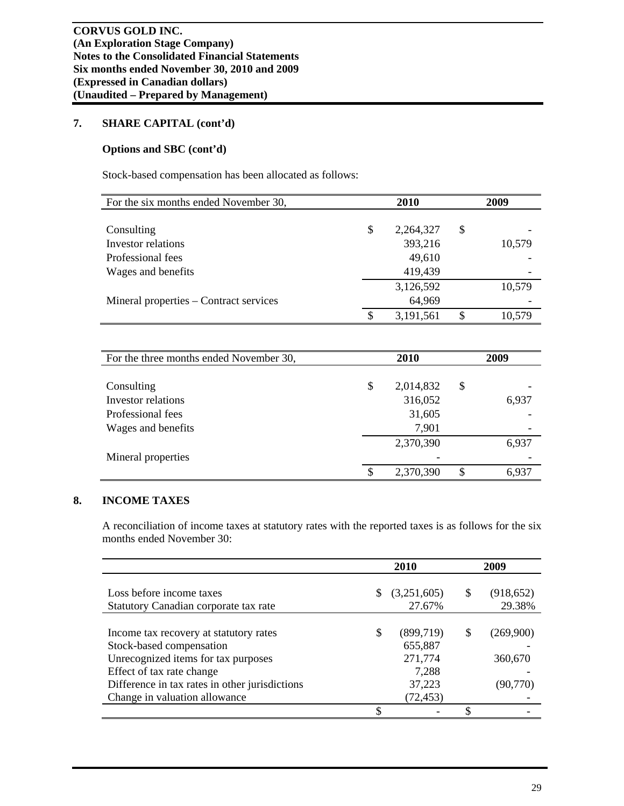## **7. SHARE CAPITAL (cont'd)**

## **Options and SBC (cont'd)**

Stock-based compensation has been allocated as follows:

| For the six months ended November 30,  | <b>2010</b> |           |    | 2009   |  |  |
|----------------------------------------|-------------|-----------|----|--------|--|--|
|                                        |             |           |    |        |  |  |
| Consulting                             | \$          | 2,264,327 | \$ |        |  |  |
| Investor relations                     |             | 393,216   |    | 10,579 |  |  |
| Professional fees                      |             | 49,610    |    |        |  |  |
| Wages and benefits                     |             | 419,439   |    |        |  |  |
|                                        |             | 3,126,592 |    | 10,579 |  |  |
| Mineral properties – Contract services |             | 64,969    |    |        |  |  |
|                                        | \$          | 3,191,561 |    | 10,579 |  |  |

| For the three months ended November 30, | <b>2010</b>     | 2009        |
|-----------------------------------------|-----------------|-------------|
|                                         |                 |             |
| Consulting                              | \$<br>2,014,832 | \$          |
| Investor relations                      | 316,052         | 6,937       |
| Professional fees                       | 31,605          |             |
| Wages and benefits                      | 7,901           |             |
|                                         | 2,370,390       | 6,937       |
| Mineral properties                      |                 |             |
|                                         | \$<br>2,370,390 | \$<br>6,937 |

## **8. INCOME TAXES**

A reconciliation of income taxes at statutory rates with the reported taxes is as follows for the six months ended November 30:

|                                                                                                                                                                                                                           | 2010 |                                                                 |    | 2009                              |
|---------------------------------------------------------------------------------------------------------------------------------------------------------------------------------------------------------------------------|------|-----------------------------------------------------------------|----|-----------------------------------|
| Loss before income taxes<br>Statutory Canadian corporate tax rate                                                                                                                                                         |      | (3,251,605)<br>27.67%                                           | \$ | (918, 652)<br>29.38%              |
| Income tax recovery at statutory rates<br>Stock-based compensation<br>Unrecognized items for tax purposes<br>Effect of tax rate change<br>Difference in tax rates in other jurisdictions<br>Change in valuation allowance |      | (899,719)<br>655,887<br>271,774<br>7,288<br>37,223<br>(72, 453) | \$ | (269,900)<br>360,670<br>(90, 770) |
|                                                                                                                                                                                                                           |      |                                                                 | ¢  |                                   |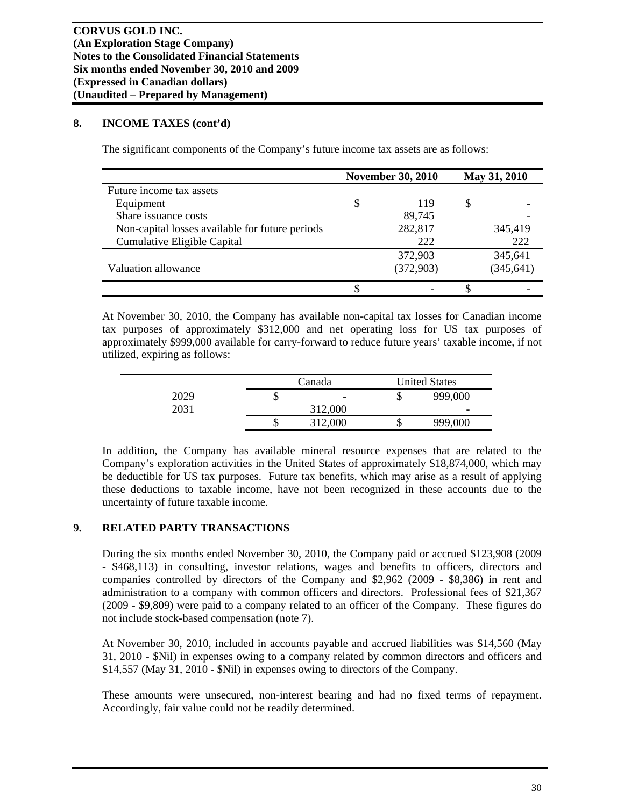## **8. INCOME TAXES (cont'd)**

The significant components of the Company's future income tax assets are as follows:

|                                                 | <b>November 30, 2010</b> |           | May 31, 2010 |            |
|-------------------------------------------------|--------------------------|-----------|--------------|------------|
| Future income tax assets                        |                          |           |              |            |
| Equipment                                       | S                        | 119       | S            |            |
| Share issuance costs                            |                          | 89,745    |              |            |
| Non-capital losses available for future periods |                          | 282,817   |              | 345,419    |
| Cumulative Eligible Capital                     |                          | 222       |              | 222        |
|                                                 |                          | 372,903   |              | 345,641    |
| Valuation allowance                             |                          | (372,903) |              | (345, 641) |
|                                                 |                          |           |              |            |

At November 30, 2010, the Company has available non-capital tax losses for Canadian income tax purposes of approximately \$312,000 and net operating loss for US tax purposes of approximately \$999,000 available for carry-forward to reduce future years' taxable income, if not utilized, expiring as follows:

|      |    | Canada                   |   | <b>United States</b>     |
|------|----|--------------------------|---|--------------------------|
| 2029 | ╜  | $\overline{\phantom{0}}$ | ╜ | 999,000                  |
| 2031 |    | 312,000                  |   | $\overline{\phantom{a}}$ |
|      | ιD | 312,000                  | Φ | 999,000                  |

In addition, the Company has available mineral resource expenses that are related to the Company's exploration activities in the United States of approximately \$18,874,000, which may be deductible for US tax purposes. Future tax benefits, which may arise as a result of applying these deductions to taxable income, have not been recognized in these accounts due to the uncertainty of future taxable income.

## **9. RELATED PARTY TRANSACTIONS**

During the six months ended November 30, 2010, the Company paid or accrued \$123,908 (2009 - \$468,113) in consulting, investor relations, wages and benefits to officers, directors and companies controlled by directors of the Company and \$2,962 (2009 - \$8,386) in rent and administration to a company with common officers and directors. Professional fees of \$21,367 (2009 - \$9,809) were paid to a company related to an officer of the Company. These figures do not include stock-based compensation (note 7).

At November 30, 2010, included in accounts payable and accrued liabilities was \$14,560 (May 31, 2010 - \$Nil) in expenses owing to a company related by common directors and officers and \$14,557 (May 31, 2010 - \$Nil) in expenses owing to directors of the Company.

These amounts were unsecured, non-interest bearing and had no fixed terms of repayment. Accordingly, fair value could not be readily determined.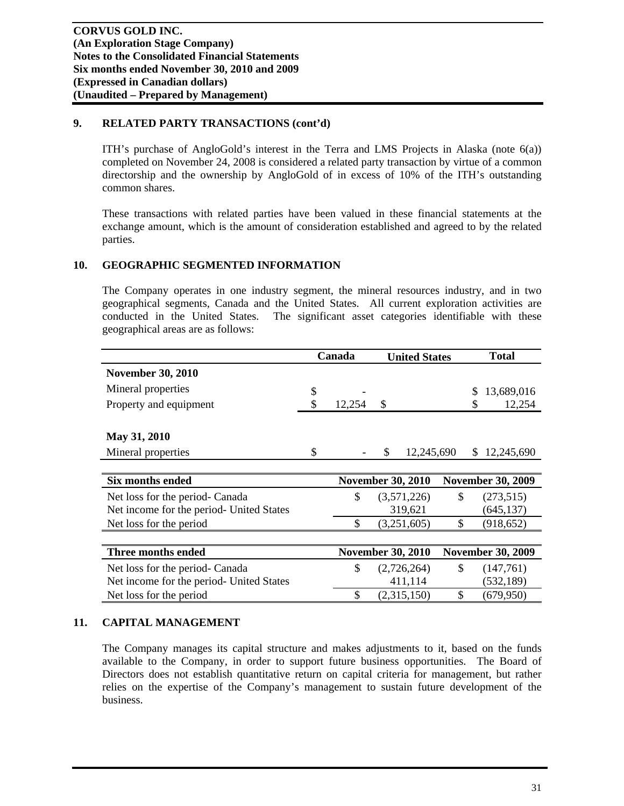## **9. RELATED PARTY TRANSACTIONS (cont'd)**

ITH's purchase of AngloGold's interest in the Terra and LMS Projects in Alaska (note  $6(a)$ ) completed on November 24, 2008 is considered a related party transaction by virtue of a common directorship and the ownership by AngloGold of in excess of 10% of the ITH's outstanding common shares.

These transactions with related parties have been valued in these financial statements at the exchange amount, which is the amount of consideration established and agreed to by the related parties.

## **10. GEOGRAPHIC SEGMENTED INFORMATION**

The Company operates in one industry segment, the mineral resources industry, and in two geographical segments, Canada and the United States. All current exploration activities are conducted in the United States. The significant asset categories identifiable with these geographical areas are as follows:

|                                          | Canada |        | <b>United States</b>     |    | <b>Total</b>             |  |
|------------------------------------------|--------|--------|--------------------------|----|--------------------------|--|
| <b>November 30, 2010</b>                 |        |        |                          |    |                          |  |
| Mineral properties                       | \$     |        |                          |    | 13,689,016<br>\$         |  |
| Property and equipment                   |        | 12,254 | \$                       |    | 12,254<br>S              |  |
|                                          |        |        |                          |    |                          |  |
| May 31, 2010                             |        |        |                          |    |                          |  |
| Mineral properties                       | \$     |        | 12,245,690<br>S          |    | \$<br>12,245,690         |  |
|                                          |        |        |                          |    |                          |  |
| Six months ended                         |        |        | <b>November 30, 2010</b> |    | <b>November 30, 2009</b> |  |
| Net loss for the period- Canada          |        | \$     | (3,571,226)              | \$ | (273, 515)               |  |
| Net income for the period- United States |        |        | 319,621                  |    | (645, 137)               |  |
| Net loss for the period                  |        | \$     | (3,251,605)              | \$ | (918, 652)               |  |
|                                          |        |        |                          |    |                          |  |
| Three months ended                       |        |        | <b>November 30, 2010</b> |    | <b>November 30, 2009</b> |  |
| Net loss for the period- Canada          |        | \$     | (2,726,264)              | \$ | (147,761)                |  |
| Net income for the period- United States |        |        | 411,114                  |    | (532, 189)               |  |
| Net loss for the period                  |        | \$     | (2,315,150)              | \$ | (679, 950)               |  |

## **11. CAPITAL MANAGEMENT**

The Company manages its capital structure and makes adjustments to it, based on the funds available to the Company, in order to support future business opportunities. The Board of Directors does not establish quantitative return on capital criteria for management, but rather relies on the expertise of the Company's management to sustain future development of the business.